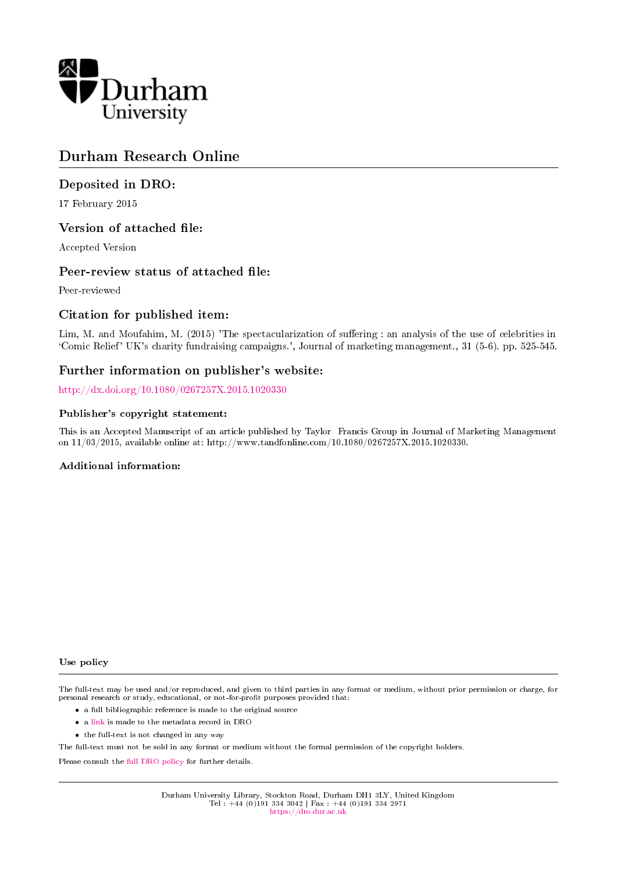

# Durham Research Online

# Deposited in DRO:

17 February 2015

# Version of attached file:

Accepted Version

# Peer-review status of attached file:

Peer-reviewed

# Citation for published item:

Lim, M. and Moufahim, M. (2015) 'The spectacularization of suffering : an analysis of the use of celebrities in `Comic Relief' UK's charity fundraising campaigns.', Journal of marketing management., 31 (5-6). pp. 525-545.

# Further information on publisher's website:

<http://dx.doi.org/10.1080/0267257X.2015.1020330>

#### Publisher's copyright statement:

This is an Accepted Manuscript of an article published by Taylor Francis Group in Journal of Marketing Management on 11/03/2015, available online at: http://www.tandfonline.com/10.1080/0267257X.2015.1020330.

#### Additional information:

#### Use policy

The full-text may be used and/or reproduced, and given to third parties in any format or medium, without prior permission or charge, for personal research or study, educational, or not-for-profit purposes provided that:

- a full bibliographic reference is made to the original source
- a [link](http://dro.dur.ac.uk/14536/) is made to the metadata record in DRO
- the full-text is not changed in any way

The full-text must not be sold in any format or medium without the formal permission of the copyright holders.

Please consult the [full DRO policy](https://dro.dur.ac.uk/policies/usepolicy.pdf) for further details.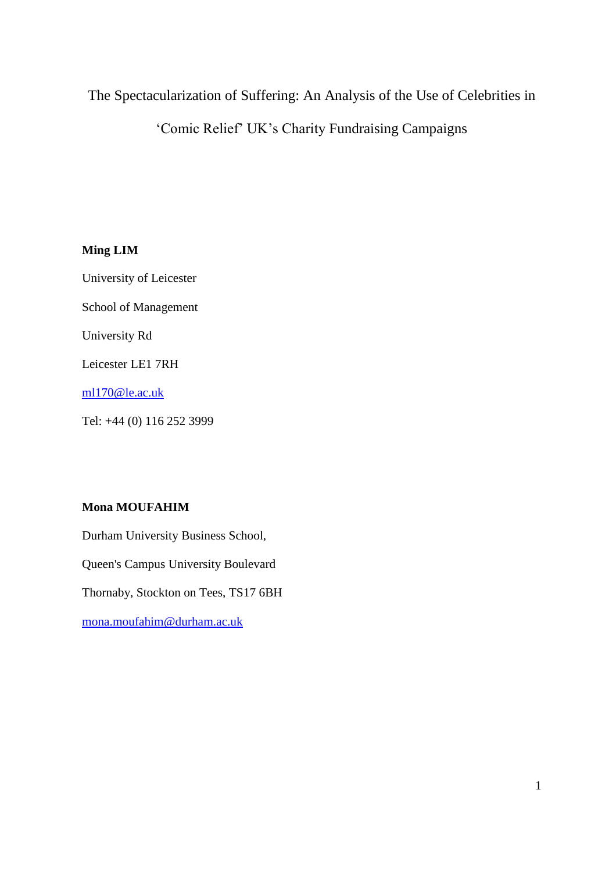# The Spectacularization of Suffering: An Analysis of the Use of Celebrities in

'Comic Relief' UK's Charity Fundraising Campaigns

# **Ming LIM**

University of Leicester

School of Management

University Rd

Leicester LE1 7RH

[ml170@le.ac.uk](mailto:ml170@le.ac.uk)

Tel: +44 (0) 116 252 3999

# **Mona MOUFAHIM**

Durham University Business School, Queen's Campus University Boulevard Thornaby, Stockton on Tees, TS17 6BH [mona.moufahim@durham.ac.uk](mailto:mona.moufahim@durham.ac.uk)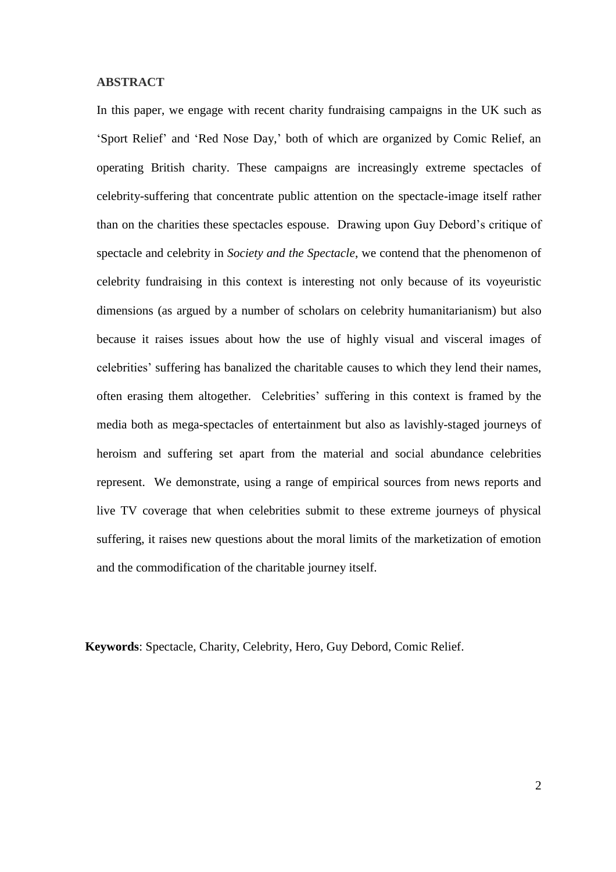### **ABSTRACT**

In this paper, we engage with recent charity fundraising campaigns in the UK such as 'Sport Relief' and 'Red Nose Day,' both of which are organized by Comic Relief, an operating British charity. These campaigns are increasingly extreme spectacles of celebrity-suffering that concentrate public attention on the spectacle-image itself rather than on the charities these spectacles espouse. Drawing upon Guy Debord's critique of spectacle and celebrity in *Society and the Spectacle*, we contend that the phenomenon of celebrity fundraising in this context is interesting not only because of its voyeuristic dimensions (as argued by a number of scholars on celebrity humanitarianism) but also because it raises issues about how the use of highly visual and visceral images of celebrities' suffering has banalized the charitable causes to which they lend their names, often erasing them altogether. Celebrities' suffering in this context is framed by the media both as mega-spectacles of entertainment but also as lavishly-staged journeys of heroism and suffering set apart from the material and social abundance celebrities represent. We demonstrate, using a range of empirical sources from news reports and live TV coverage that when celebrities submit to these extreme journeys of physical suffering, it raises new questions about the moral limits of the marketization of emotion and the commodification of the charitable journey itself.

**Keywords**: Spectacle, Charity, Celebrity, Hero, Guy Debord, Comic Relief.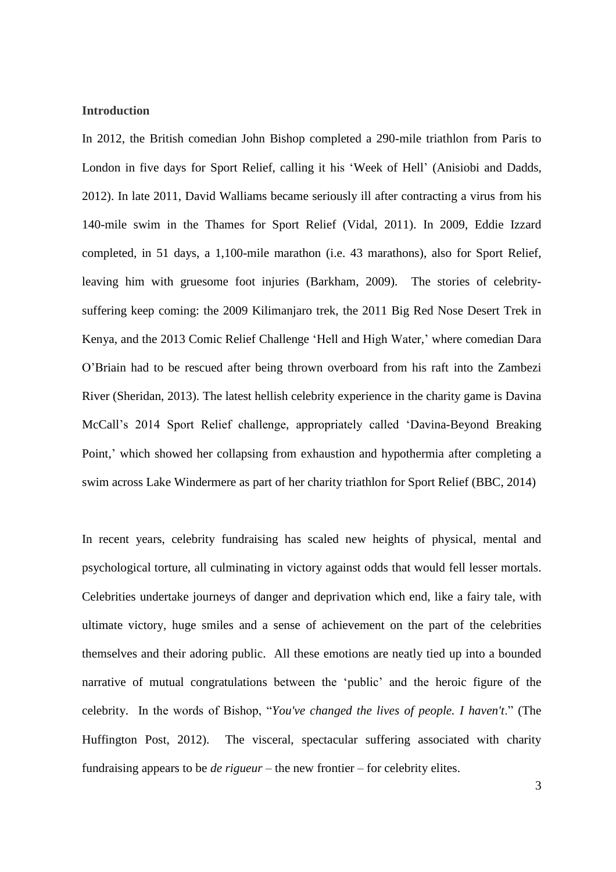# **Introduction**

In 2012, the British comedian John Bishop completed a 290-mile triathlon from Paris to London in five days for Sport Relief, calling it his 'Week of Hell' (Anisiobi and Dadds, 2012). In late 2011, David Walliams became seriously ill after contracting a virus from his 140-mile swim in the Thames for Sport Relief (Vidal, 2011). In 2009, Eddie Izzard completed, in 51 days, a 1,100-mile marathon (i.e. 43 marathons), also for Sport Relief, leaving him with gruesome foot injuries (Barkham, 2009). The stories of celebritysuffering keep coming: the 2009 Kilimanjaro trek, the 2011 Big Red Nose Desert Trek in Kenya, and the 2013 Comic Relief Challenge 'Hell and High Water,' where comedian Dara O'Briain had to be rescued after being thrown overboard from his raft into the Zambezi River (Sheridan, 2013). The latest hellish celebrity experience in the charity game is Davina McCall's 2014 Sport Relief challenge, appropriately called 'Davina-Beyond Breaking Point,' which showed her collapsing from exhaustion and hypothermia after completing a swim across Lake Windermere as part of her charity triathlon for Sport Relief (BBC, 2014)

In recent years, celebrity fundraising has scaled new heights of physical, mental and psychological torture, all culminating in victory against odds that would fell lesser mortals. Celebrities undertake journeys of danger and deprivation which end, like a fairy tale, with ultimate victory, huge smiles and a sense of achievement on the part of the celebrities themselves and their adoring public. All these emotions are neatly tied up into a bounded narrative of mutual congratulations between the 'public' and the heroic figure of the celebrity. In the words of Bishop, "*You've changed the lives of people. I haven't*." (The Huffington Post, 2012). The visceral, spectacular suffering associated with charity fundraising appears to be *de rigueur* – the new frontier – for celebrity elites.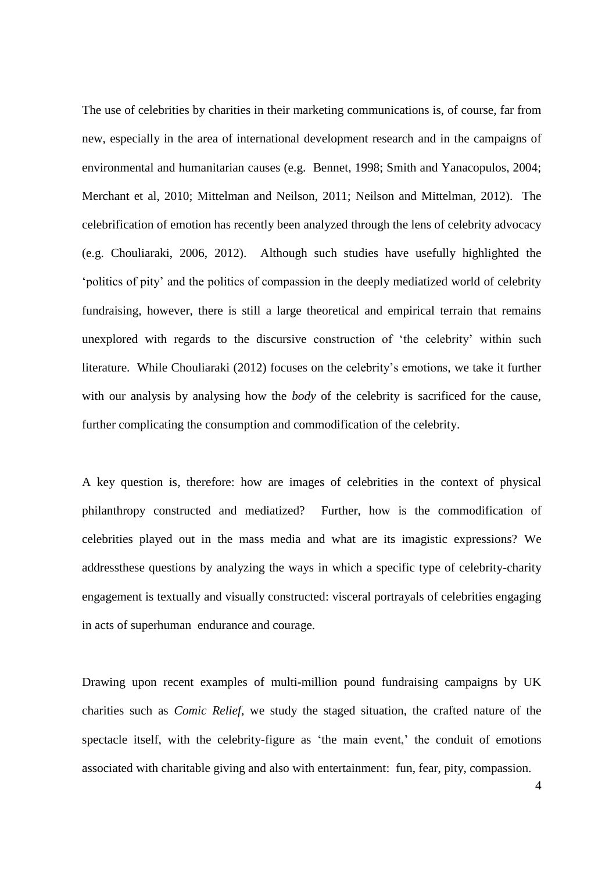The use of celebrities by charities in their marketing communications is, of course, far from new, especially in the area of international development research and in the campaigns of environmental and humanitarian causes (e.g. Bennet, 1998; Smith and Yanacopulos, 2004; Merchant et al, 2010; Mittelman and Neilson, 2011; Neilson and Mittelman, 2012). The celebrification of emotion has recently been analyzed through the lens of celebrity advocacy (e.g. Chouliaraki, 2006, 2012). Although such studies have usefully highlighted the 'politics of pity' and the politics of compassion in the deeply mediatized world of celebrity fundraising, however, there is still a large theoretical and empirical terrain that remains unexplored with regards to the discursive construction of 'the celebrity' within such literature. While Chouliaraki (2012) focuses on the celebrity's emotions, we take it further with our analysis by analysing how the *body* of the celebrity is sacrificed for the cause, further complicating the consumption and commodification of the celebrity.

A key question is, therefore: how are images of celebrities in the context of physical philanthropy constructed and mediatized? Further, how is the commodification of celebrities played out in the mass media and what are its imagistic expressions? We addressthese questions by analyzing the ways in which a specific type of celebrity-charity engagement is textually and visually constructed: visceral portrayals of celebrities engaging in acts of superhuman endurance and courage.

Drawing upon recent examples of multi-million pound fundraising campaigns by UK charities such as *Comic Relief*, we study the staged situation, the crafted nature of the spectacle itself, with the celebrity-figure as 'the main event,' the conduit of emotions associated with charitable giving and also with entertainment: fun, fear, pity, compassion.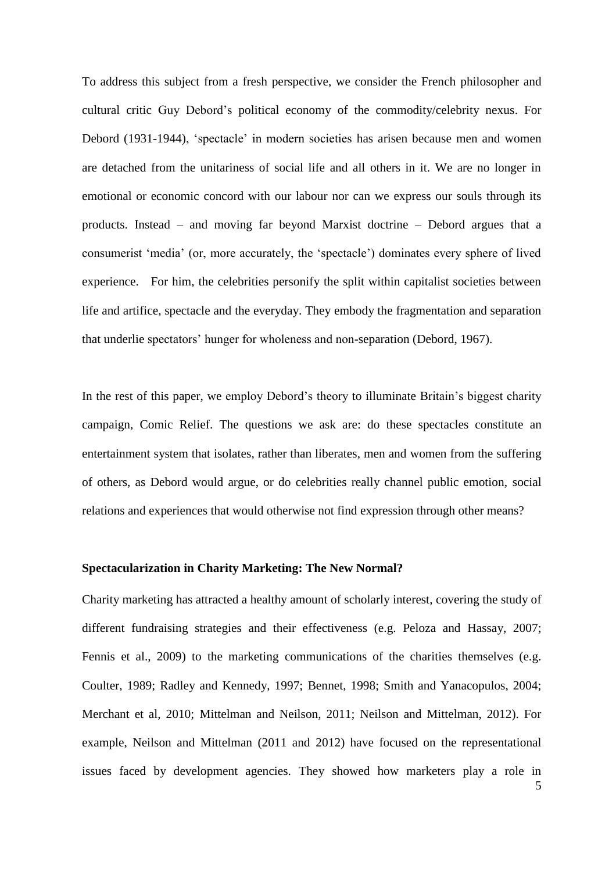To address this subject from a fresh perspective, we consider the French philosopher and cultural critic Guy Debord's political economy of the commodity/celebrity nexus. For Debord (1931-1944), 'spectacle' in modern societies has arisen because men and women are detached from the unitariness of social life and all others in it. We are no longer in emotional or economic concord with our labour nor can we express our souls through its products. Instead – and moving far beyond Marxist doctrine – Debord argues that a consumerist 'media' (or, more accurately, the 'spectacle') dominates every sphere of lived experience. For him, the celebrities personify the split within capitalist societies between life and artifice, spectacle and the everyday. They embody the fragmentation and separation that underlie spectators' hunger for wholeness and non-separation (Debord, 1967).

In the rest of this paper, we employ Debord's theory to illuminate Britain's biggest charity campaign, Comic Relief. The questions we ask are: do these spectacles constitute an entertainment system that isolates, rather than liberates, men and women from the suffering of others, as Debord would argue, or do celebrities really channel public emotion, social relations and experiences that would otherwise not find expression through other means?

#### **Spectacularization in Charity Marketing: The New Normal?**

Charity marketing has attracted a healthy amount of scholarly interest, covering the study of different fundraising strategies and their effectiveness (e.g. Peloza and Hassay, 2007; Fennis et al., 2009) to the marketing communications of the charities themselves (e.g. Coulter, 1989; Radley and Kennedy, 1997; Bennet, 1998; Smith and Yanacopulos, 2004; Merchant et al, 2010; Mittelman and Neilson, 2011; Neilson and Mittelman, 2012). For example, Neilson and Mittelman (2011 and 2012) have focused on the representational issues faced by development agencies. They showed how marketers play a role in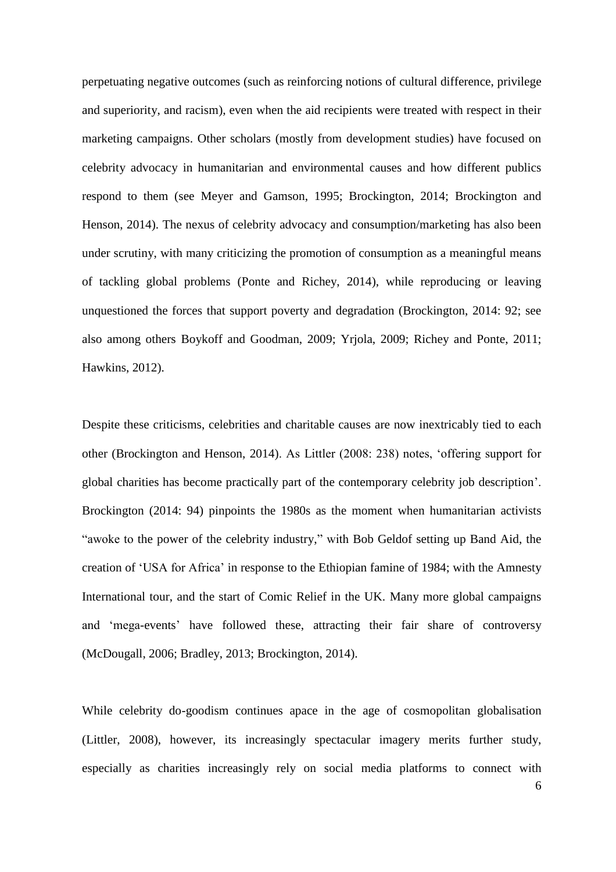perpetuating negative outcomes (such as reinforcing notions of cultural difference, privilege and superiority, and racism), even when the aid recipients were treated with respect in their marketing campaigns. Other scholars (mostly from development studies) have focused on celebrity advocacy in humanitarian and environmental causes and how different publics respond to them (see Meyer and Gamson, 1995; Brockington, 2014; Brockington and Henson, 2014). The nexus of celebrity advocacy and consumption/marketing has also been under scrutiny, with many criticizing the promotion of consumption as a meaningful means of tackling global problems (Ponte and Richey, 2014), while reproducing or leaving unquestioned the forces that support poverty and degradation (Brockington, 2014: 92; see also among others Boykoff and Goodman, 2009; Yrjola, 2009; Richey and Ponte, 2011; Hawkins, 2012).

Despite these criticisms, celebrities and charitable causes are now inextricably tied to each other (Brockington and Henson, 2014). As Littler (2008: 238) notes, 'offering support for global charities has become practically part of the contemporary celebrity job description'. Brockington (2014: 94) pinpoints the 1980s as the moment when humanitarian activists "awoke to the power of the celebrity industry," with Bob Geldof setting up Band Aid, the creation of 'USA for Africa' in response to the Ethiopian famine of 1984; with the Amnesty International tour, and the start of Comic Relief in the UK. Many more global campaigns and 'mega-events' have followed these, attracting their fair share of controversy (McDougall, 2006; Bradley, 2013; Brockington, 2014).

While celebrity do-goodism continues apace in the age of cosmopolitan globalisation (Littler, 2008), however, its increasingly spectacular imagery merits further study, especially as charities increasingly rely on social media platforms to connect with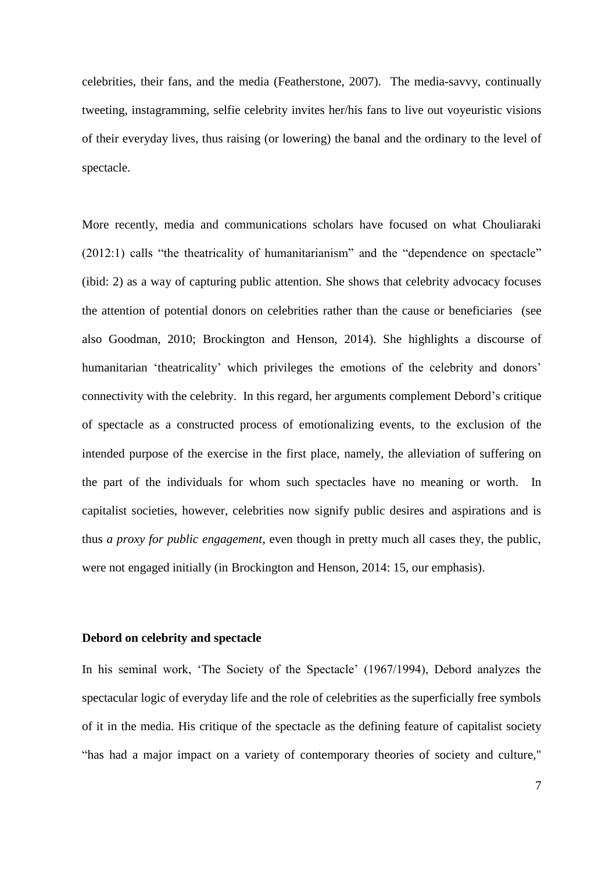celebrities, their fans, and the media (Featherstone, 2007). The media-savvy, continually tweeting, instagramming, selfie celebrity invites her/his fans to live out voyeuristic visions of their everyday lives, thus raising (or lowering) the banal and the ordinary to the level of spectacle.

More recently, media and communications scholars have focused on what Chouliaraki (2012:1) calls "the theatricality of humanitarianism" and the "dependence on spectacle" (ibid: 2) as a way of capturing public attention. She shows that celebrity advocacy focuses the attention of potential donors on celebrities rather than the cause or beneficiaries (see also Goodman, 2010; Brockington and Henson, 2014). She highlights a discourse of humanitarian 'theatricality' which privileges the emotions of the celebrity and donors' connectivity with the celebrity. In this regard, her arguments complement Debord's critique of spectacle as a constructed process of emotionalizing events, to the exclusion of the intended purpose of the exercise in the first place, namely, the alleviation of suffering on the part of the individuals for whom such spectacles have no meaning or worth. In capitalist societies, however, celebrities now signify public desires and aspirations and is thus *a proxy for public engagement*, even though in pretty much all cases they, the public, were not engaged initially (in Brockington and Henson, 2014: 15, our emphasis).

# **Debord on celebrity and spectacle**

In his seminal work, 'The Society of the Spectacle' (1967/1994), Debord analyzes the spectacular logic of everyday life and the role of celebrities as the superficially free symbols of it in the media. His critique of the spectacle as the defining feature of capitalist society "has had a major impact on a variety of contemporary theories of society and culture,"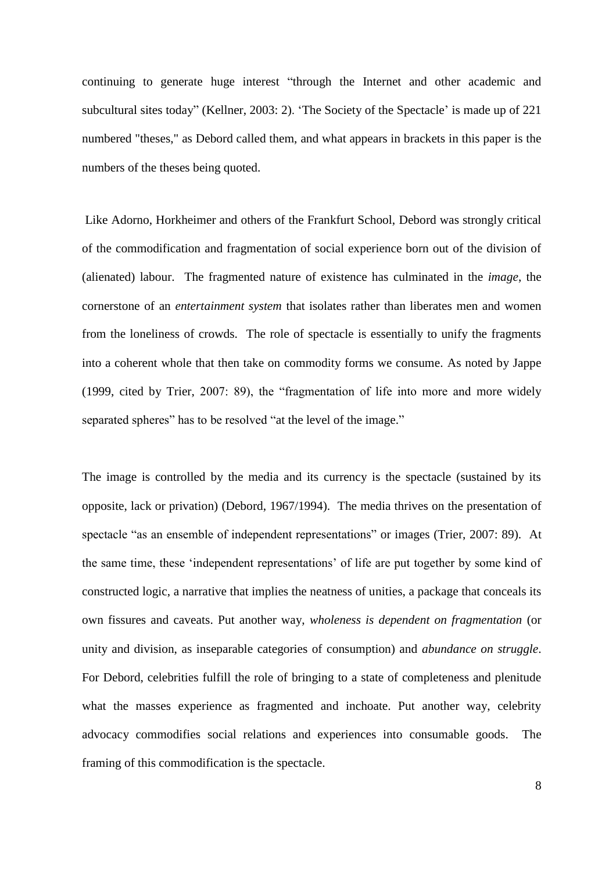continuing to generate huge interest "through the Internet and other academic and subcultural sites today" (Kellner, 2003: 2). 'The Society of the Spectacle' is made up of 221 numbered "theses," as Debord called them, and what appears in brackets in this paper is the numbers of the theses being quoted.

Like Adorno, Horkheimer and others of the Frankfurt School, Debord was strongly critical of the commodification and fragmentation of social experience born out of the division of (alienated) labour. The fragmented nature of existence has culminated in the *image*, the cornerstone of an *entertainment system* that isolates rather than liberates men and women from the loneliness of crowds. The role of spectacle is essentially to unify the fragments into a coherent whole that then take on commodity forms we consume. As noted by Jappe (1999, cited by Trier, 2007: 89), the "fragmentation of life into more and more widely separated spheres" has to be resolved "at the level of the image."

The image is controlled by the media and its currency is the spectacle (sustained by its opposite, lack or privation) (Debord, 1967/1994). The media thrives on the presentation of spectacle "as an ensemble of independent representations" or images (Trier, 2007: 89). At the same time, these 'independent representations' of life are put together by some kind of constructed logic, a narrative that implies the neatness of unities, a package that conceals its own fissures and caveats. Put another way, *wholeness is dependent on fragmentation* (or unity and division, as inseparable categories of consumption) and *abundance on struggle*. For Debord, celebrities fulfill the role of bringing to a state of completeness and plenitude what the masses experience as fragmented and inchoate. Put another way, celebrity advocacy commodifies social relations and experiences into consumable goods. The framing of this commodification is the spectacle.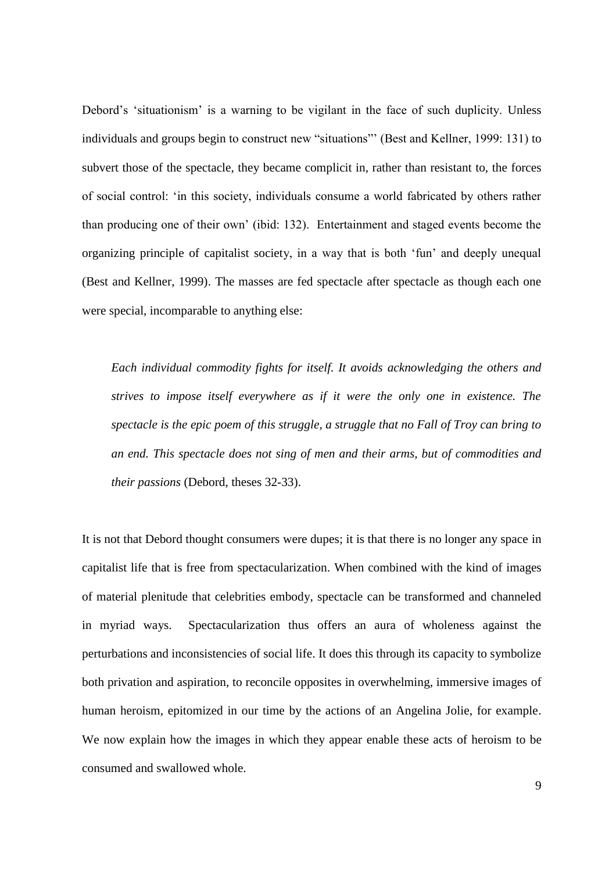Debord's 'situationism' is a warning to be vigilant in the face of such duplicity. Unless individuals and groups begin to construct new "situations"' (Best and Kellner, 1999: 131) to subvert those of the spectacle, they became complicit in, rather than resistant to, the forces of social control: 'in this society, individuals consume a world fabricated by others rather than producing one of their own' (ibid: 132). Entertainment and staged events become the organizing principle of capitalist society, in a way that is both 'fun' and deeply unequal (Best and Kellner, 1999). The masses are fed spectacle after spectacle as though each one were special, incomparable to anything else:

*Each individual commodity fights for itself. It avoids acknowledging the others and strives to impose itself everywhere as if it were the only one in existence. The spectacle is the epic poem of this struggle, a struggle that no Fall of Troy can bring to an end. This spectacle does not sing of men and their arms, but of commodities and their passions* (Debord, theses 32-33).

It is not that Debord thought consumers were dupes; it is that there is no longer any space in capitalist life that is free from spectacularization. When combined with the kind of images of material plenitude that celebrities embody, spectacle can be transformed and channeled in myriad ways. Spectacularization thus offers an aura of wholeness against the perturbations and inconsistencies of social life. It does this through its capacity to symbolize both privation and aspiration, to reconcile opposites in overwhelming, immersive images of human heroism, epitomized in our time by the actions of an Angelina Jolie, for example. We now explain how the images in which they appear enable these acts of heroism to be consumed and swallowed whole.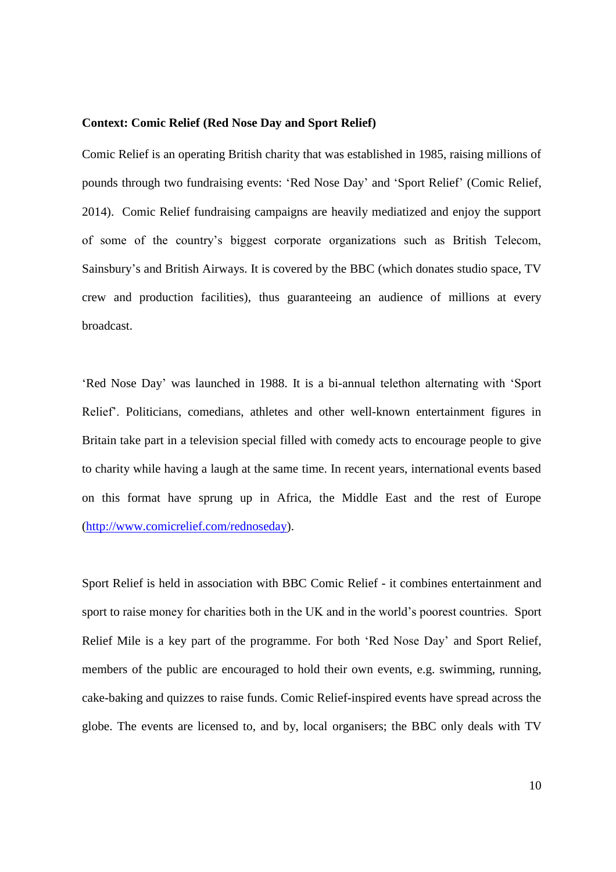# **Context: Comic Relief (Red Nose Day and Sport Relief)**

Comic Relief is an operating British charity that was established in 1985, raising millions of pounds through two fundraising events: 'Red Nose Day' and 'Sport Relief' (Comic Relief, 2014). Comic Relief fundraising campaigns are heavily mediatized and enjoy the support of some of the country's biggest corporate organizations such as British Telecom, Sainsbury's and British Airways. It is covered by the BBC (which donates studio space, TV crew and production facilities), thus guaranteeing an audience of millions at every broadcast.

'Red Nose Day' was launched in 1988. It is a bi-annual telethon alternating with 'Sport Relief'. Politicians, comedians, athletes and other well-known entertainment figures in Britain take part in a television special filled with comedy acts to encourage people to give to charity while having a laugh at the same time. In recent years, international events based on this format have sprung up in Africa, the Middle East and the rest of Europe [\(http://www.comicrelief.com/rednoseday\)](http://www.comicrelief.com/rednoseday).

Sport Relief is held in association with BBC Comic Relief - it combines entertainment and sport to raise money for charities both in the UK and in the world's poorest countries. Sport Relief Mile is a key part of the programme. For both 'Red Nose Day' and Sport Relief, members of the public are encouraged to hold their own events, e.g. swimming, running, cake-baking and quizzes to raise funds. Comic Relief-inspired events have spread across the globe. The events are licensed to, and by, local organisers; the BBC only deals with TV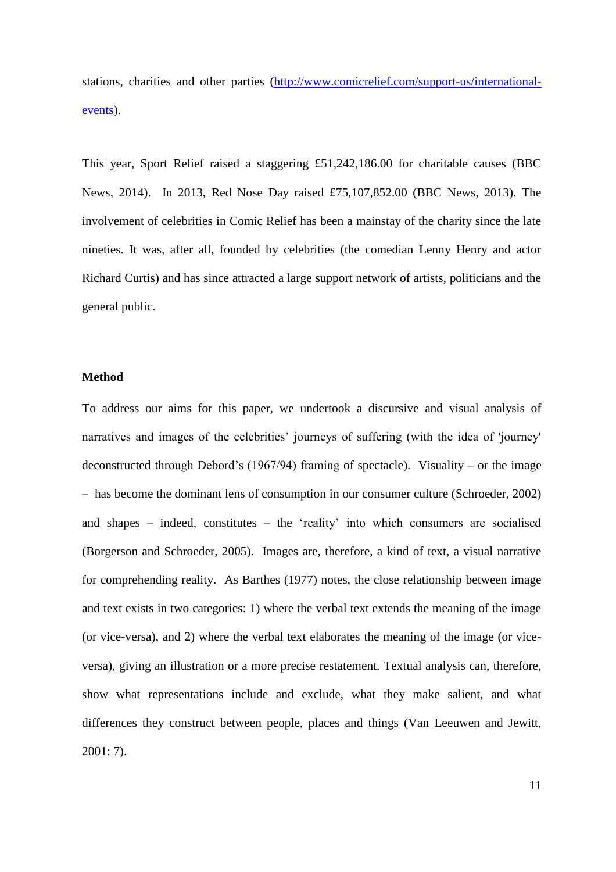stations, charities and other parties [\(http://www.comicrelief.com/support-us/international](https://email.le.ac.uk/owa/redir.aspx?C=QRSvf9RkUECi1k-yeJXUsPiAI94mfdEIOVAGDBHAcM33D419MiVLQV0ZN3OqwyPge3ROTf3bG3s.&URL=http%3a%2f%2fwww.comicrelief.com%2fsupport-us%2finternational-events)[events\)](https://email.le.ac.uk/owa/redir.aspx?C=QRSvf9RkUECi1k-yeJXUsPiAI94mfdEIOVAGDBHAcM33D419MiVLQV0ZN3OqwyPge3ROTf3bG3s.&URL=http%3a%2f%2fwww.comicrelief.com%2fsupport-us%2finternational-events).

This year, Sport Relief raised a staggering £51,242,186.00 for charitable causes (BBC News, 2014). In 2013, Red Nose Day raised £75,107,852.00 (BBC News, 2013). The involvement of celebrities in Comic Relief has been a mainstay of the charity since the late nineties. It was, after all, founded by celebrities (the comedian Lenny Henry and actor Richard Curtis) and has since attracted a large support network of artists, politicians and the general public.

## **Method**

To address our aims for this paper, we undertook a discursive and visual analysis of narratives and images of the celebrities' journeys of suffering (with the idea of 'journey' deconstructed through Debord's (1967/94) framing of spectacle). Visuality – or the image – has become the dominant lens of consumption in our consumer culture (Schroeder, 2002) and shapes – indeed, constitutes – the 'reality' into which consumers are socialised (Borgerson and Schroeder, 2005). Images are, therefore, a kind of text, a visual narrative for comprehending reality. As Barthes (1977) notes, the close relationship between image and text exists in two categories: 1) where the verbal text extends the meaning of the image (or vice-versa), and 2) where the verbal text elaborates the meaning of the image (or viceversa), giving an illustration or a more precise restatement. Textual analysis can, therefore, show what representations include and exclude, what they make salient, and what differences they construct between people, places and things (Van Leeuwen and Jewitt, 2001: 7).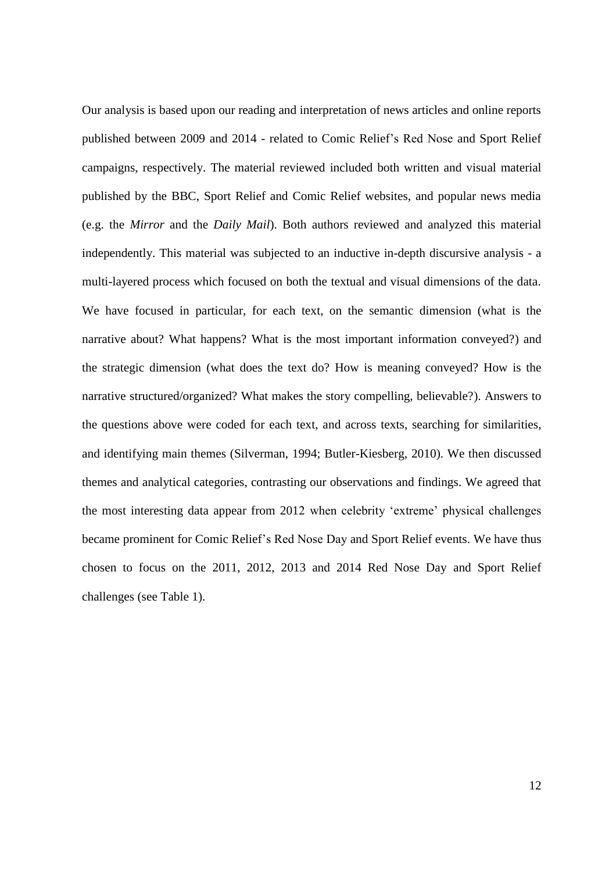Our analysis is based upon our reading and interpretation of news articles and online reports published between 2009 and 2014 - related to Comic Relief's Red Nose and Sport Relief campaigns, respectively. The material reviewed included both written and visual material published by the BBC, Sport Relief and Comic Relief websites, and popular news media (e.g. the *Mirror* and the *Daily Mail*). Both authors reviewed and analyzed this material independently. This material was subjected to an inductive in-depth discursive analysis - a multi-layered process which focused on both the textual and visual dimensions of the data. We have focused in particular, for each text, on the semantic dimension (what is the narrative about? What happens? What is the most important information conveyed?) and the strategic dimension (what does the text do? How is meaning conveyed? How is the narrative structured/organized? What makes the story compelling, believable?). Answers to the questions above were coded for each text, and across texts, searching for similarities, and identifying main themes (Silverman, 1994; Butler-Kiesberg, 2010). We then discussed themes and analytical categories, contrasting our observations and findings. We agreed that the most interesting data appear from 2012 when celebrity 'extreme' physical challenges became prominent for Comic Relief's Red Nose Day and Sport Relief events. We have thus chosen to focus on the 2011, 2012, 2013 and 2014 Red Nose Day and Sport Relief challenges (see Table 1).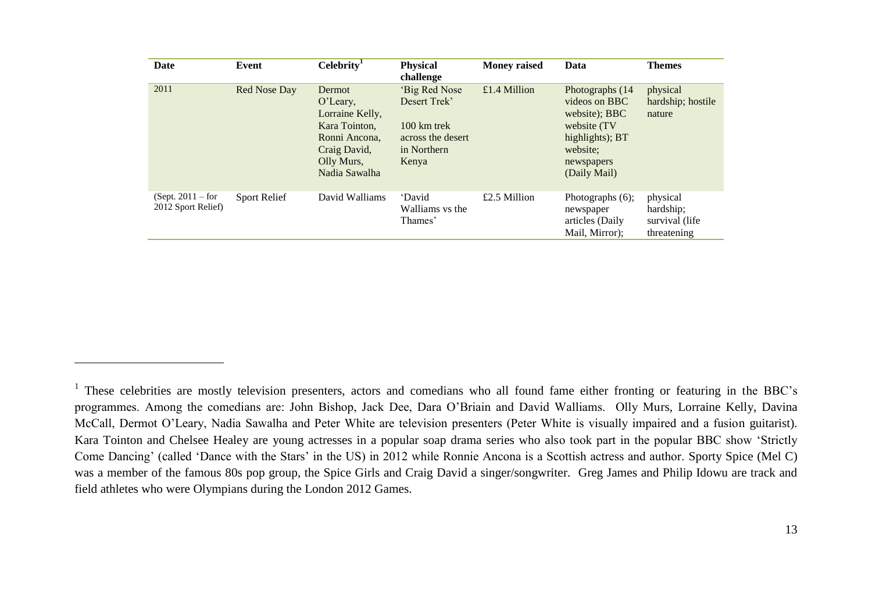| Date                                      | Event               | Celebrity <sup>1</sup>                                                                                                    | <b>Physical</b><br>challenge                                                                        | <b>Money raised</b> | Data                                                                                                                           | <b>Themes</b>                                           |
|-------------------------------------------|---------------------|---------------------------------------------------------------------------------------------------------------------------|-----------------------------------------------------------------------------------------------------|---------------------|--------------------------------------------------------------------------------------------------------------------------------|---------------------------------------------------------|
| 2011                                      | Red Nose Day        | Dermot<br>$O'$ Leary,<br>Lorraine Kelly,<br>Kara Tointon,<br>Ronni Ancona,<br>Craig David,<br>Olly Murs,<br>Nadia Sawalha | 'Big Red Nose<br>Desert Trek'<br>$100 \text{ km}$ trek<br>across the desert<br>in Northern<br>Kenya | £1.4 Million        | Photographs (14<br>videos on BBC<br>website); BBC<br>website (TV)<br>highlights); BT<br>website:<br>newspapers<br>(Daily Mail) | physical<br>hardship; hostile<br>nature                 |
| $(Sept. 2011 - for$<br>2012 Sport Relief) | <b>Sport Relief</b> | David Walliams                                                                                                            | 'David<br>Walliams vs the<br>Thames'                                                                | £2.5 Million        | Photographs $(6)$ ;<br>newspaper<br>articles (Daily<br>Mail, Mirror);                                                          | physical<br>hardship;<br>survival (life)<br>threatening |

1

<sup>&</sup>lt;sup>1</sup> These celebrities are mostly television presenters, actors and comedians who all found fame either fronting or featuring in the BBC's programmes. Among the comedians are: John Bishop, Jack Dee, Dara O'Briain and David Walliams. Olly Murs, Lorraine Kelly, Davina McCall, Dermot O'Leary, Nadia Sawalha and Peter White are television presenters (Peter White is visually impaired and a fusion guitarist). Kara Tointon and Chelsee Healey are young actresses in a popular soap drama series who also took part in the popular BBC show 'Strictly Come Dancing' (called 'Dance with the Stars' in the US) in 2012 while Ronnie Ancona is a Scottish actress and author. Sporty Spice (Mel C) was a member of the famous 80s pop group, the Spice Girls and Craig David a singer/songwriter. Greg James and Philip Idowu are track and field athletes who were Olympians during the London 2012 Games.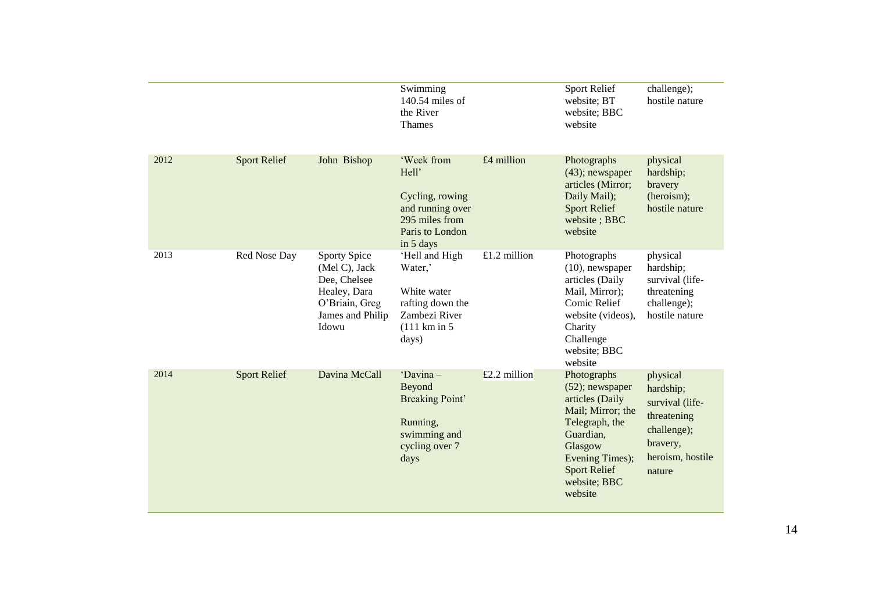|      |                     |                                                                                                              | Swimming<br>140.54 miles of<br>the River<br><b>Thames</b>                                                          |                | Sport Relief<br>website; BT<br>website; BBC<br>website                                                                                                                                   | challenge);<br>hostile nature                                                                                    |
|------|---------------------|--------------------------------------------------------------------------------------------------------------|--------------------------------------------------------------------------------------------------------------------|----------------|------------------------------------------------------------------------------------------------------------------------------------------------------------------------------------------|------------------------------------------------------------------------------------------------------------------|
| 2012 | <b>Sport Relief</b> | John Bishop                                                                                                  | 'Week from<br>Hell'<br>Cycling, rowing<br>and running over<br>295 miles from<br>Paris to London<br>in 5 days       | £4 million     | Photographs<br>$(43)$ ; newspaper<br>articles (Mirror;<br>Daily Mail);<br><b>Sport Relief</b><br>website; BBC<br>website                                                                 | physical<br>hardship;<br>bravery<br>(heroism);<br>hostile nature                                                 |
| 2013 | Red Nose Day        | Sporty Spice<br>(Mel C), Jack<br>Dee, Chelsee<br>Healey, Dara<br>O'Briain, Greg<br>James and Philip<br>Idowu | 'Hell and High<br>Water,'<br>White water<br>rafting down the<br>Zambezi River<br>$(111 \text{ km in } 5)$<br>days) | $£1.2$ million | Photographs<br>$(10)$ , newspaper<br>articles (Daily<br>Mail, Mirror);<br>Comic Relief<br>website (videos),<br>Charity<br>Challenge<br>website; BBC<br>website                           | physical<br>hardship;<br>survival (life-<br>threatening<br>challenge);<br>hostile nature                         |
| 2014 | <b>Sport Relief</b> | Davina McCall                                                                                                | 'Davina-<br>Beyond<br><b>Breaking Point'</b><br>Running,<br>swimming and<br>cycling over 7<br>days                 | £2.2 million   | Photographs<br>$(52)$ ; newspaper<br>articles (Daily<br>Mail; Mirror; the<br>Telegraph, the<br>Guardian,<br>Glasgow<br>Evening Times);<br><b>Sport Relief</b><br>website; BBC<br>website | physical<br>hardship;<br>survival (life-<br>threatening<br>challenge);<br>bravery,<br>heroism, hostile<br>nature |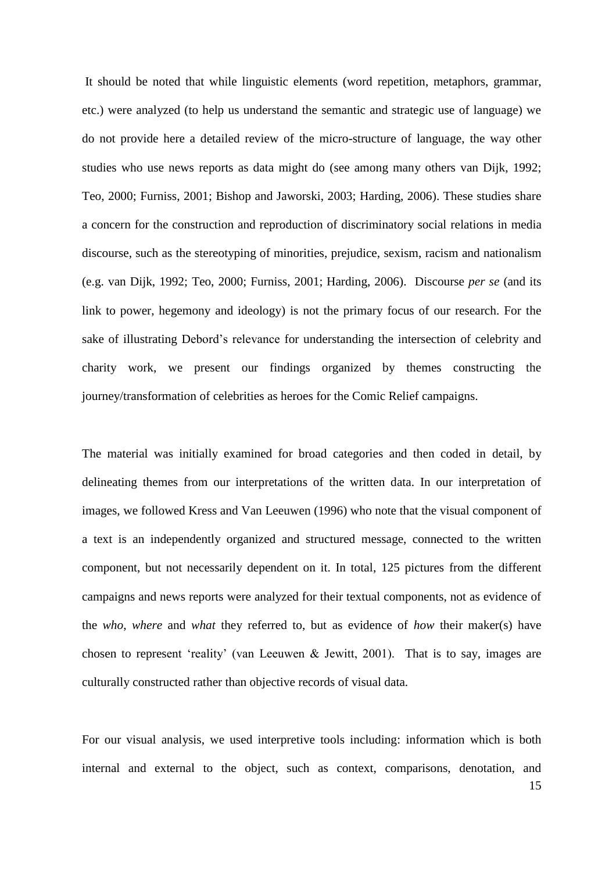It should be noted that while linguistic elements (word repetition, metaphors, grammar, etc.) were analyzed (to help us understand the semantic and strategic use of language) we do not provide here a detailed review of the micro-structure of language, the way other studies who use news reports as data might do (see among many others van Dijk, 1992; Teo, 2000; Furniss, 2001; Bishop and Jaworski, 2003; Harding, 2006). These studies share a concern for the construction and reproduction of discriminatory social relations in media discourse, such as the stereotyping of minorities, prejudice, sexism, racism and nationalism (e.g. van Dijk, 1992; Teo, 2000; Furniss, 2001; Harding, 2006). Discourse *per se* (and its link to power, hegemony and ideology) is not the primary focus of our research. For the sake of illustrating Debord's relevance for understanding the intersection of celebrity and charity work, we present our findings organized by themes constructing the journey/transformation of celebrities as heroes for the Comic Relief campaigns.

The material was initially examined for broad categories and then coded in detail, by delineating themes from our interpretations of the written data. In our interpretation of images, we followed Kress and Van Leeuwen (1996) who note that the visual component of a text is an independently organized and structured message, connected to the written component, but not necessarily dependent on it. In total, 125 pictures from the different campaigns and news reports were analyzed for their textual components, not as evidence of the *who*, *where* and *what* they referred to, but as evidence of *how* their maker(s) have chosen to represent 'reality' (van Leeuwen & Jewitt, 2001). That is to say, images are culturally constructed rather than objective records of visual data.

For our visual analysis, we used interpretive tools including: information which is both internal and external to the object, such as context, comparisons, denotation, and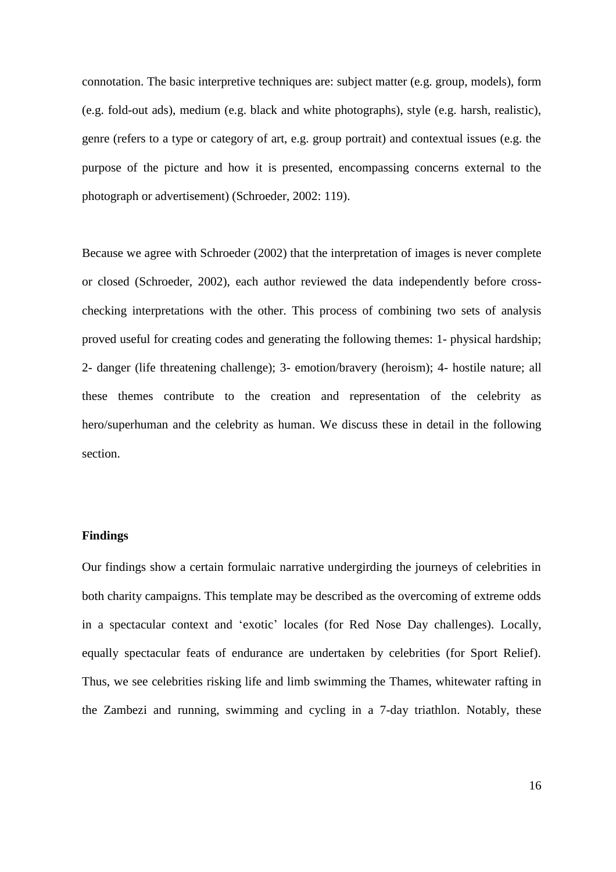connotation. The basic interpretive techniques are: subject matter (e.g. group, models), form (e.g. fold-out ads), medium (e.g. black and white photographs), style (e.g. harsh, realistic), genre (refers to a type or category of art, e.g. group portrait) and contextual issues (e.g. the purpose of the picture and how it is presented, encompassing concerns external to the photograph or advertisement) (Schroeder, 2002: 119).

Because we agree with Schroeder (2002) that the interpretation of images is never complete or closed (Schroeder, 2002), each author reviewed the data independently before crosschecking interpretations with the other. This process of combining two sets of analysis proved useful for creating codes and generating the following themes: 1- physical hardship; 2- danger (life threatening challenge); 3- emotion/bravery (heroism); 4- hostile nature; all these themes contribute to the creation and representation of the celebrity as hero/superhuman and the celebrity as human. We discuss these in detail in the following section.

# **Findings**

Our findings show a certain formulaic narrative undergirding the journeys of celebrities in both charity campaigns. This template may be described as the overcoming of extreme odds in a spectacular context and 'exotic' locales (for Red Nose Day challenges). Locally, equally spectacular feats of endurance are undertaken by celebrities (for Sport Relief). Thus, we see celebrities risking life and limb swimming the Thames, whitewater rafting in the Zambezi and running, swimming and cycling in a 7-day triathlon. Notably, these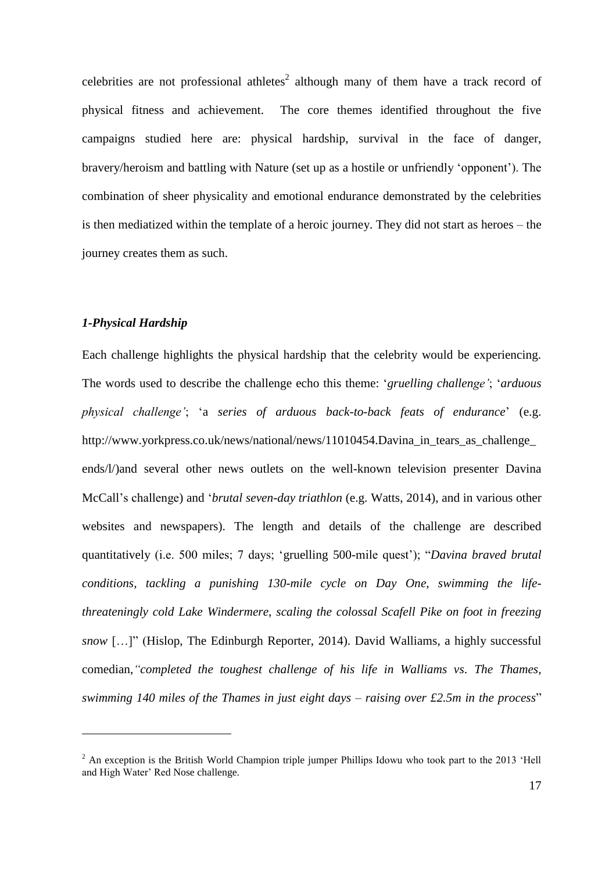celebrities are not professional athletes<sup>2</sup> although many of them have a track record of physical fitness and achievement. The core themes identified throughout the five campaigns studied here are: physical hardship, survival in the face of danger, bravery/heroism and battling with Nature (set up as a hostile or unfriendly 'opponent'). The combination of sheer physicality and emotional endurance demonstrated by the celebrities is then mediatized within the template of a heroic journey. They did not start as heroes – the journey creates them as such.

# *1-Physical Hardship*

 $\overline{a}$ 

Each challenge highlights the physical hardship that the celebrity would be experiencing. The words used to describe the challenge echo this theme: '*gruelling challenge'*; '*arduous physical challenge'*; 'a *series of arduous back-to-back feats of endurance*' (e.g. http://www.yorkpress.co.uk/news/national/news/11010454.Davina\_in\_tears\_as\_challenge\_ ends/l/)and several other news outlets on the well-known television presenter Davina McCall's challenge) and '*brutal seven-day triathlon* (e.g. Watts, 2014), and in various other websites and newspapers). The length and details of the challenge are described quantitatively (i.e. 500 miles; 7 days; 'gruelling 500-mile quest'); "*Davina braved brutal conditions, tackling a punishing 130-mile cycle on Day One, swimming the lifethreateningly cold Lake Windermere, scaling the colossal Scafell Pike on foot in freezing snow* […]" (Hislop, The Edinburgh Reporter, 2014). David Walliams, a highly successful comedian,*"completed the toughest challenge of his life in Walliams vs. The Thames, swimming 140 miles of the Thames in just eight days – raising over £2.5m in the process*"

 $2$  An exception is the British World Champion triple jumper Phillips Idowu who took part to the 2013 'Hell and High Water' Red Nose challenge.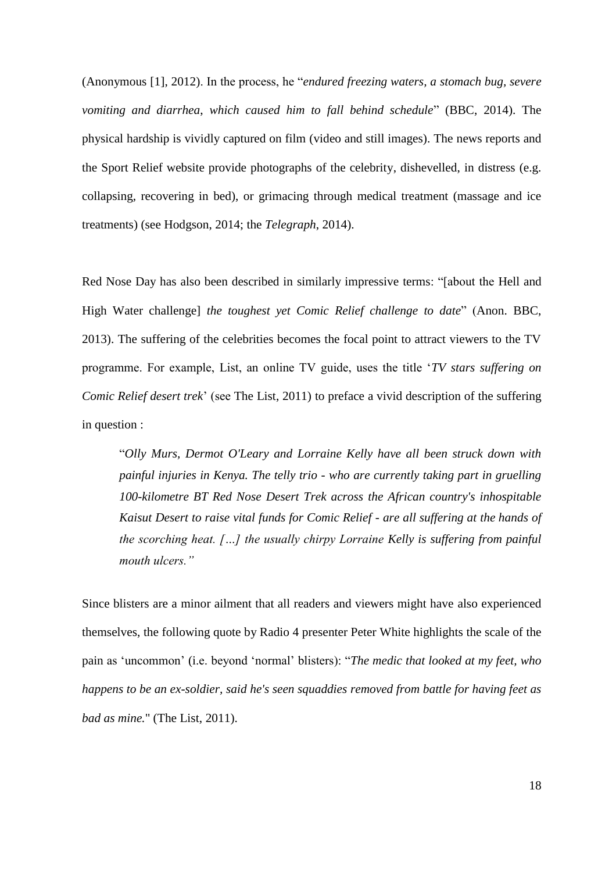(Anonymous [1], 2012). In the process, he "*endured freezing waters, a stomach bug, severe vomiting and diarrhea*, *which caused him to fall behind schedule*" (BBC, 2014). The physical hardship is vividly captured on film (video and still images). The news reports and the Sport Relief website provide photographs of the celebrity, dishevelled, in distress (e.g. collapsing, recovering in bed), or grimacing through medical treatment (massage and ice treatments) (see Hodgson, 2014; the *Telegraph*, 2014).

Red Nose Day has also been described in similarly impressive terms: "[about the Hell and High Water challenge] *the toughest yet Comic Relief challenge to date*" (Anon. BBC, 2013). The suffering of the celebrities becomes the focal point to attract viewers to the TV programme. For example, List, an online TV guide, uses the title '*TV stars suffering on Comic Relief desert trek*' (see The List, 2011) to preface a vivid description of the suffering in question :

"*Olly Murs, Dermot O'Leary and Lorraine Kelly have all been struck down with painful injuries in Kenya. The telly trio - who are currently taking part in gruelling 100-kilometre BT Red Nose Desert Trek across the African country's inhospitable Kaisut Desert to raise vital funds for Comic Relief - are all suffering at the hands of the scorching heat. […] the usually chirpy Lorraine Kelly is suffering from painful mouth ulcers."* 

Since blisters are a minor ailment that all readers and viewers might have also experienced themselves, the following quote by Radio 4 presenter Peter White highlights the scale of the pain as 'uncommon' (i.e. beyond 'normal' blisters): "*The medic that looked at my feet, who happens to be an ex-soldier, said he's seen squaddies removed from battle for having feet as bad as mine.*" (The List, 2011).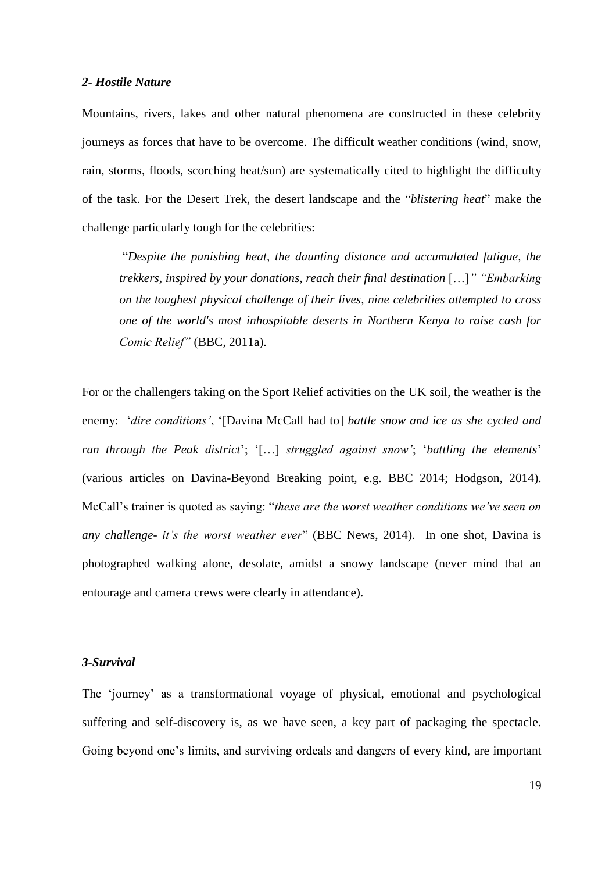# *2- Hostile Nature*

Mountains, rivers, lakes and other natural phenomena are constructed in these celebrity journeys as forces that have to be overcome. The difficult weather conditions (wind, snow, rain, storms, floods, scorching heat/sun) are systematically cited to highlight the difficulty of the task. For the Desert Trek, the desert landscape and the "*blistering heat*" make the challenge particularly tough for the celebrities:

"*Despite the punishing heat, the daunting distance and accumulated fatigue, the trekkers, inspired by your donations, reach their final destination* […]*" "Embarking on the toughest physical challenge of their lives, nine celebrities attempted to cross one of the world's most inhospitable deserts in Northern Kenya to raise cash for Comic Relief"* (BBC, 2011a).

For or the challengers taking on the Sport Relief activities on the UK soil, the weather is the enemy: '*dire conditions'*, '[Davina McCall had to] *battle snow and ice as she cycled and ran through the Peak district*'; '[…] *struggled against snow'*; '*battling the elements*' (various articles on Davina-Beyond Breaking point, e.g. BBC 2014; Hodgson, 2014). McCall's trainer is quoted as saying: "*these are the worst weather conditions we've seen on any challenge- it's the worst weather ever*" (BBC News, 2014). In one shot, Davina is photographed walking alone, desolate, amidst a snowy landscape (never mind that an entourage and camera crews were clearly in attendance).

#### *3-Survival*

The 'journey' as a transformational voyage of physical, emotional and psychological suffering and self-discovery is, as we have seen, a key part of packaging the spectacle. Going beyond one's limits, and surviving ordeals and dangers of every kind, are important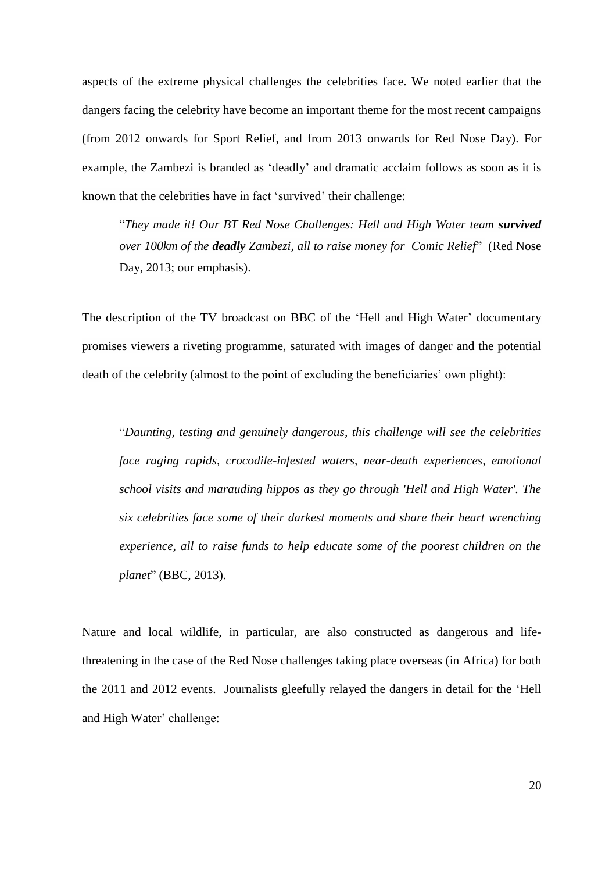aspects of the extreme physical challenges the celebrities face. We noted earlier that the dangers facing the celebrity have become an important theme for the most recent campaigns (from 2012 onwards for Sport Relief, and from 2013 onwards for Red Nose Day). For example, the Zambezi is branded as 'deadly' and dramatic acclaim follows as soon as it is known that the celebrities have in fact 'survived' their challenge:

"They made it! Our BT Red Nose Challenges: Hell and High Water team survived *over 100km of the deadly Zambezi, all to raise money for Comic Relief*" [\(Red Nose](file:///C:/Users/mmoufahim/AppData/Local/Microsoft/Windows/Temporary%20Internet%20Files/AppData/Local/Microsoft/Windows/mmoufahim/AppData/Local/Microsoft/Windows/Temporary%20Internet%20Files/Content.Outlook/Anonymous%20%5b6%5d,%202013)%20http:/www.rednoseday.com/whats-going-on/challenges/hellandhighwater)  [Day, 2013;](file:///C:/Users/mmoufahim/AppData/Local/Microsoft/Windows/Temporary%20Internet%20Files/AppData/Local/Microsoft/Windows/mmoufahim/AppData/Local/Microsoft/Windows/Temporary%20Internet%20Files/Content.Outlook/Anonymous%20%5b6%5d,%202013)%20http:/www.rednoseday.com/whats-going-on/challenges/hellandhighwater) our emphasis).

The description of the TV broadcast on BBC of the 'Hell and High Water' documentary promises viewers a riveting programme, saturated with images of danger and the potential death of the celebrity (almost to the point of excluding the beneficiaries' own plight):

"*Daunting, testing and genuinely dangerous, this challenge will see the celebrities face raging rapids, crocodile-infested waters, near-death experiences, emotional school visits and marauding hippos as they go through 'Hell and High Water'. The six celebrities face some of their darkest moments and share their heart wrenching experience, all to raise funds to help educate some of the poorest children on the planet*" (BBC, 2013).

Nature and local wildlife, in particular, are also constructed as dangerous and lifethreatening in the case of the Red Nose challenges taking place overseas (in Africa) for both the 2011 and 2012 events. Journalists gleefully relayed the dangers in detail for the 'Hell and High Water' challenge: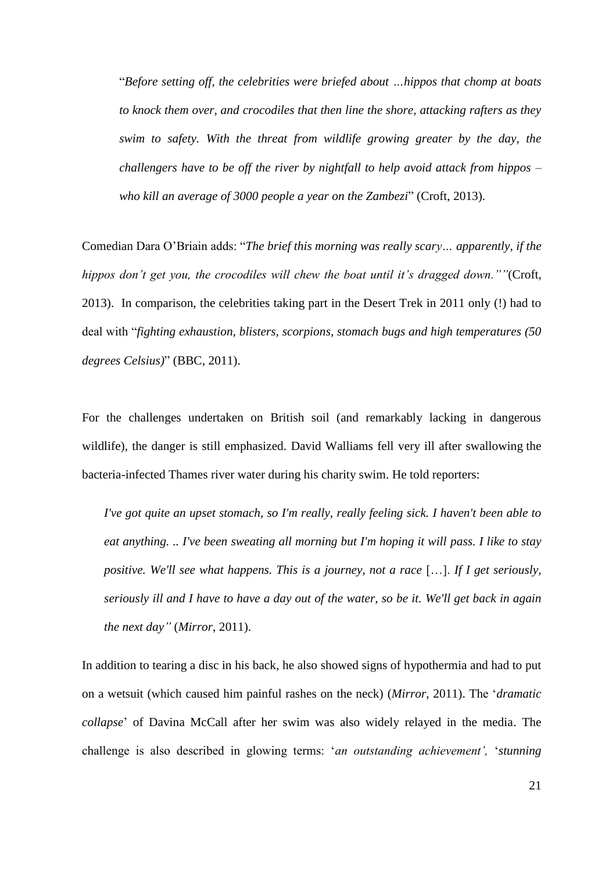"*Before setting off, the celebrities were briefed about …hippos that chomp at boats to knock them over, and crocodiles that then line the shore, attacking rafters as they swim to safety. With the threat from wildlife growing greater by the day, the challengers have to be off the river by nightfall to help avoid attack from hippos – who kill an average of 3000 people a year on the Zambezi*" (Croft, 2013).

Comedian Dara O'Briain adds: "*The brief this morning was really scary… apparently, if the hippos don't get you, the crocodiles will chew the boat until it's dragged down.""*(Croft, 2013). In comparison, the celebrities taking part in the Desert Trek in 2011 only (!) had to deal with "*fighting exhaustion, blisters, scorpions, stomach bugs and high temperatures (50 degrees Celsius)*" (BBC, 2011).

For the challenges undertaken on British soil (and remarkably lacking in dangerous wildlife), the danger is still emphasized. David Walliams fell very ill after swallowing the bacteria-infected Thames river water during his charity swim. He told reporters:

*I've got quite an upset stomach, so I'm really, really feeling sick. I haven't been able to eat anything. .. I've been sweating all morning but I'm hoping it will pass. I like to stay positive. We'll see what happens. This is a journey, not a race* […]. *If I get seriously, seriously ill and I have to have a day out of the water, so be it. We'll get back in again the next day"* (*Mirror*, 2011).

In addition to tearing a disc in his back, he also showed signs of hypothermia and had to put on a wetsuit (which caused him painful rashes on the neck) (*Mirror*, 2011). The '*dramatic collapse*' of Davina McCall after her swim was also widely relayed in the media. The challenge is also described in glowing terms: '*an outstanding achievement',* '*stunning*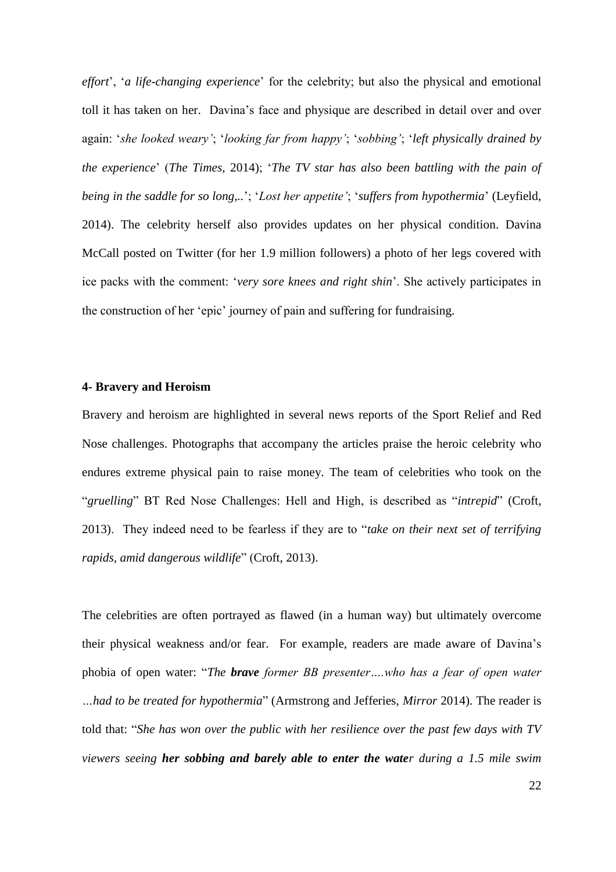*effort*', '*a life-changing experience*' for the celebrity; but also the physical and emotional toll it has taken on her. Davina's face and physique are described in detail over and over again: '*she looked weary'*; '*looking far from happy'*; '*sobbing'*; '*left physically drained by the experience*' (*The Times*, 2014); '*The TV star has also been battling with the pain of being in the saddle for so long,..*'; '*Lost her appetite'*; '*suffers from hypothermia*' (Leyfield, 2014). The celebrity herself also provides updates on her physical condition. Davina McCall posted on Twitter (for her 1.9 million followers) a photo of her legs covered with ice packs with the comment: '*very sore knees and right shin*'. She actively participates in the construction of her 'epic' journey of pain and suffering for fundraising.

## **4- Bravery and Heroism**

Bravery and heroism are highlighted in several news reports of the Sport Relief and Red Nose challenges. Photographs that accompany the articles praise the heroic celebrity who endures extreme physical pain to raise money. The team of celebrities who took on the "*gruelling*" BT Red Nose Challenges: Hell and High, is described as "*intrepid*" (Croft, 2013). They indeed need to be fearless if they are to "*take on their next set of terrifying rapids, amid dangerous wildlife*" (Croft, 2013).

The celebrities are often portrayed as flawed (in a human way) but ultimately overcome their physical weakness and/or fear. For example, readers are made aware of Davina's phobia of open water: "*The brave former BB presenter….who has a fear of open water …had to be treated for hypothermia*" (Armstrong and Jefferies, *Mirror* 2014). The reader is told that: "*She has won over the public with her resilience over the past few days with TV viewers seeing her sobbing and barely able to enter the water during a 1.5 mile swim*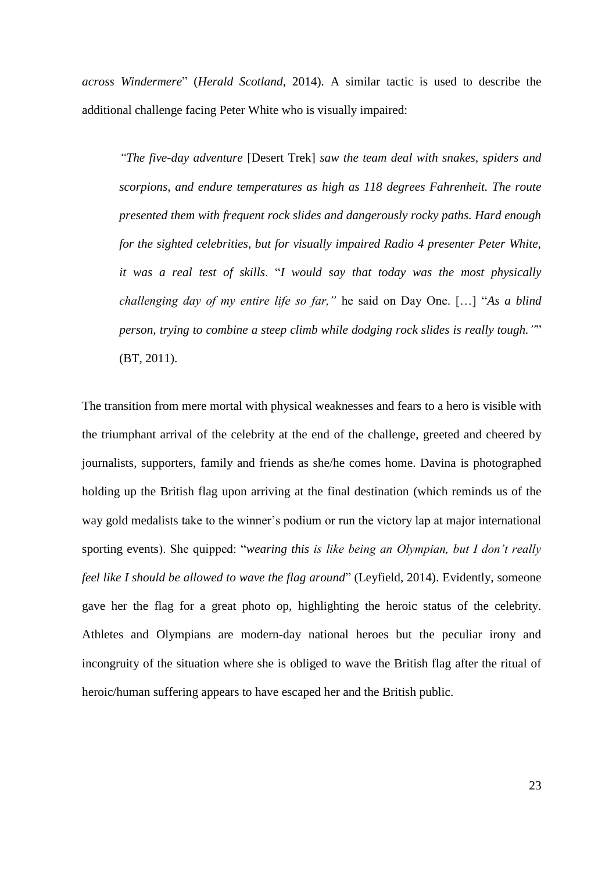*across Windermere*" (*Herald Scotland*, 2014). A similar tactic is used to describe the additional challenge facing Peter White who is visually impaired:

*"The five-day adventure* [Desert Trek] *saw the team deal with snakes, spiders and scorpions, and endure temperatures as high as 118 degrees Fahrenheit. The route presented them with frequent rock slides and dangerously rocky paths. Hard enough for the sighted celebrities, but for visually impaired Radio 4 presenter Peter White, it was a real test of skills*. "*I would say that today was the most physically challenging day of my entire life so far,"* he said on Day One. […] "*As a blind person, trying to combine a steep climb while dodging rock slides is really tough."*" (BT, 2011).

The transition from mere mortal with physical weaknesses and fears to a hero is visible with the triumphant arrival of the celebrity at the end of the challenge, greeted and cheered by journalists, supporters, family and friends as she/he comes home. Davina is photographed holding up the British flag upon arriving at the final destination (which reminds us of the way gold medalists take to the winner's podium or run the victory lap at major international sporting events). She quipped: "*wearing this is like being an Olympian, but I don't really feel like I should be allowed to wave the flag around*" (Leyfield, 2014). Evidently, someone gave her the flag for a great photo op, highlighting the heroic status of the celebrity. Athletes and Olympians are modern-day national heroes but the peculiar irony and incongruity of the situation where she is obliged to wave the British flag after the ritual of heroic/human suffering appears to have escaped her and the British public.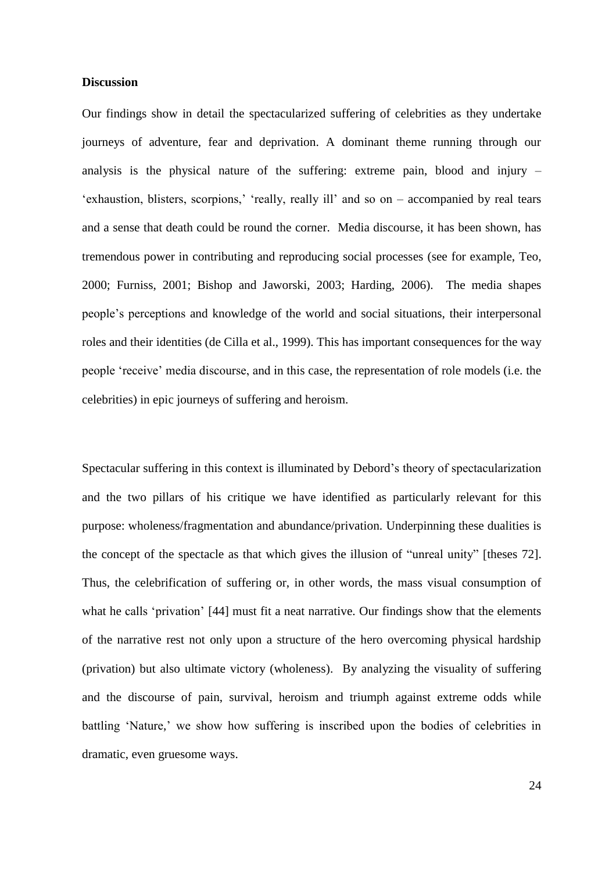## **Discussion**

Our findings show in detail the spectacularized suffering of celebrities as they undertake journeys of adventure, fear and deprivation. A dominant theme running through our analysis is the physical nature of the suffering: extreme pain, blood and injury – 'exhaustion, blisters, scorpions,' 'really, really ill' and so on – accompanied by real tears and a sense that death could be round the corner. Media discourse, it has been shown, has tremendous power in contributing and reproducing social processes (see for example, Teo, 2000; Furniss, 2001; Bishop and Jaworski, 2003; Harding, 2006). The media shapes people's perceptions and knowledge of the world and social situations, their interpersonal roles and their identities (de Cilla et al., 1999). This has important consequences for the way people 'receive' media discourse, and in this case, the representation of role models (i.e. the celebrities) in epic journeys of suffering and heroism.

Spectacular suffering in this context is illuminated by Debord's theory of spectacularization and the two pillars of his critique we have identified as particularly relevant for this purpose: wholeness/fragmentation and abundance/privation. Underpinning these dualities is the concept of the spectacle as that which gives the illusion of "unreal unity" [theses 72]. Thus, the celebrification of suffering or, in other words, the mass visual consumption of what he calls 'privation' [44] must fit a neat narrative. Our findings show that the elements of the narrative rest not only upon a structure of the hero overcoming physical hardship (privation) but also ultimate victory (wholeness). By analyzing the visuality of suffering and the discourse of pain, survival, heroism and triumph against extreme odds while battling 'Nature,' we show how suffering is inscribed upon the bodies of celebrities in dramatic, even gruesome ways.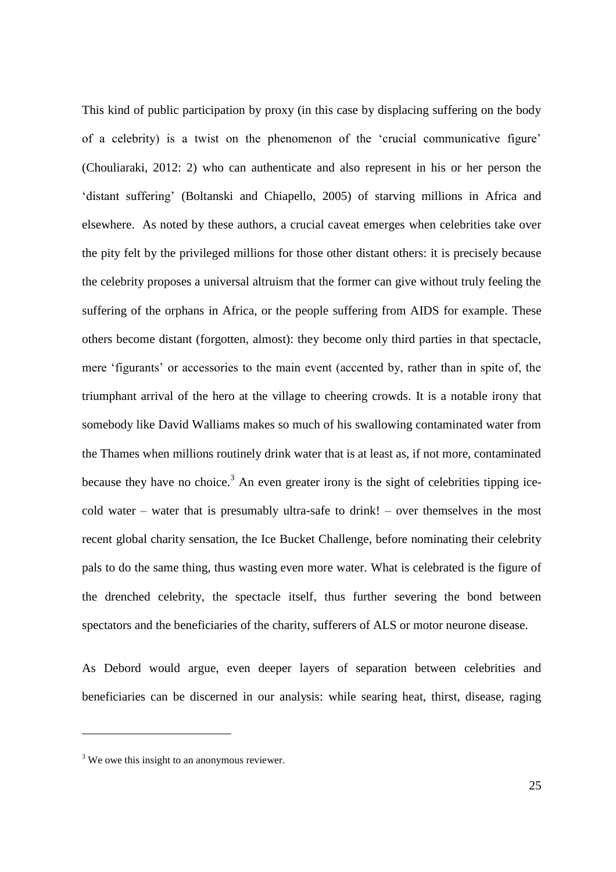This kind of public participation by proxy (in this case by displacing suffering on the body of a celebrity) is a twist on the phenomenon of the 'crucial communicative figure' (Chouliaraki, 2012: 2) who can authenticate and also represent in his or her person the 'distant suffering' (Boltanski and Chiapello, 2005) of starving millions in Africa and elsewhere. As noted by these authors, a crucial caveat emerges when celebrities take over the pity felt by the privileged millions for those other distant others: it is precisely because the celebrity proposes a universal altruism that the former can give without truly feeling the suffering of the orphans in Africa, or the people suffering from AIDS for example. These others become distant (forgotten, almost): they become only third parties in that spectacle, mere 'figurants' or accessories to the main event (accented by, rather than in spite of, the triumphant arrival of the hero at the village to cheering crowds. It is a notable irony that somebody like David Walliams makes so much of his swallowing contaminated water from the Thames when millions routinely drink water that is at least as, if not more, contaminated because they have no choice.<sup>3</sup> An even greater irony is the sight of celebrities tipping icecold water – water that is presumably ultra-safe to drink! – over themselves in the most recent global charity sensation, the Ice Bucket Challenge, before nominating their celebrity pals to do the same thing, thus wasting even more water. What is celebrated is the figure of the drenched celebrity, the spectacle itself, thus further severing the bond between spectators and the beneficiaries of the charity, sufferers of ALS or motor neurone disease.

As Debord would argue, even deeper layers of separation between celebrities and beneficiaries can be discerned in our analysis: while searing heat, thirst, disease, raging

 $\overline{a}$ 

<sup>&</sup>lt;sup>3</sup> We owe this insight to an anonymous reviewer.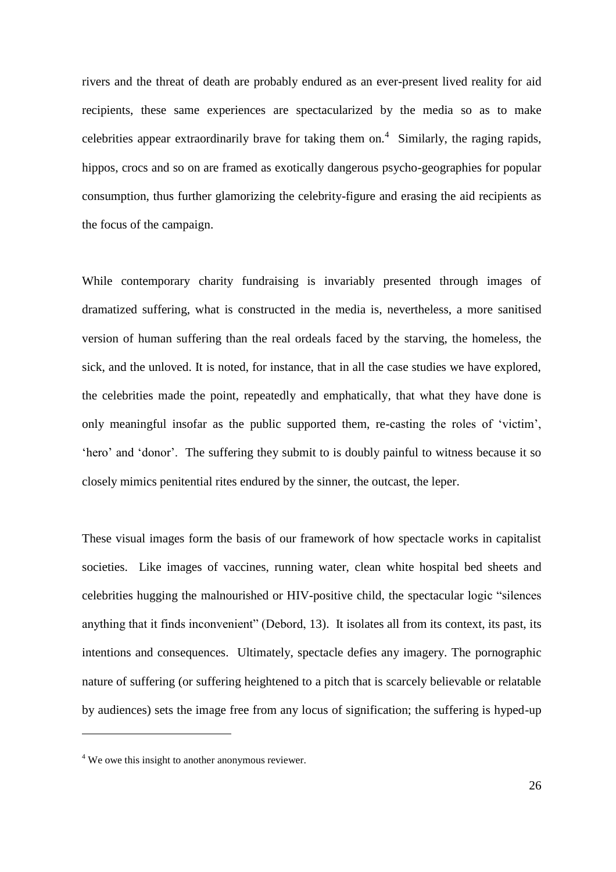rivers and the threat of death are probably endured as an ever-present lived reality for aid recipients, these same experiences are spectacularized by the media so as to make celebrities appear extraordinarily brave for taking them on.<sup>4</sup> Similarly, the raging rapids, hippos, crocs and so on are framed as exotically dangerous psycho-geographies for popular consumption, thus further glamorizing the celebrity-figure and erasing the aid recipients as the focus of the campaign.

While contemporary charity fundraising is invariably presented through images of dramatized suffering, what is constructed in the media is, nevertheless, a more sanitised version of human suffering than the real ordeals faced by the starving, the homeless, the sick, and the unloved. It is noted, for instance, that in all the case studies we have explored, the celebrities made the point, repeatedly and emphatically, that what they have done is only meaningful insofar as the public supported them, re-casting the roles of 'victim', 'hero' and 'donor'. The suffering they submit to is doubly painful to witness because it so closely mimics penitential rites endured by the sinner, the outcast, the leper.

These visual images form the basis of our framework of how spectacle works in capitalist societies. Like images of vaccines, running water, clean white hospital bed sheets and celebrities hugging the malnourished or HIV-positive child, the spectacular logic "silences anything that it finds inconvenient" (Debord, 13). It isolates all from its context, its past, its intentions and consequences. Ultimately, spectacle defies any imagery. The pornographic nature of suffering (or suffering heightened to a pitch that is scarcely believable or relatable by audiences) sets the image free from any locus of signification; the suffering is hyped-up

 $\overline{a}$ 

<sup>&</sup>lt;sup>4</sup> We owe this insight to another anonymous reviewer.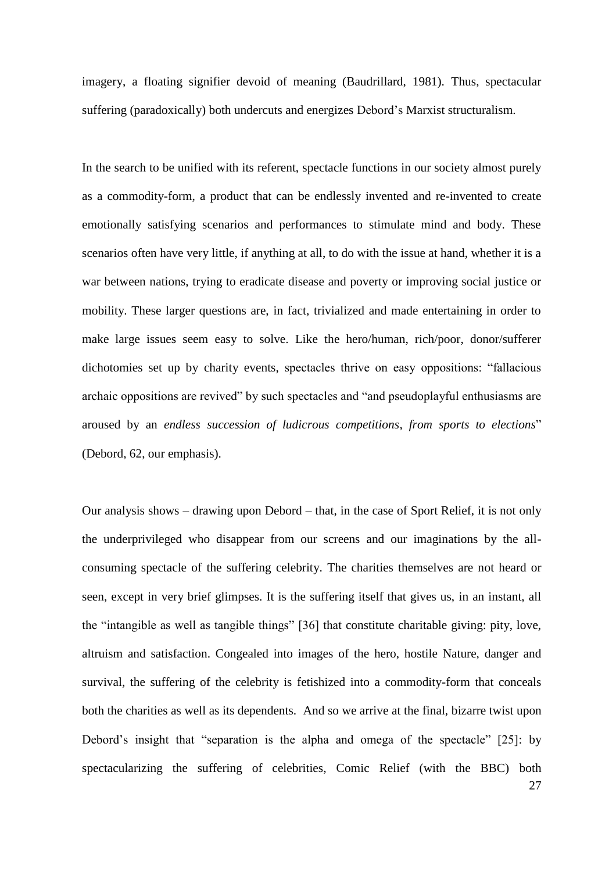imagery, a floating signifier devoid of meaning (Baudrillard, 1981). Thus, spectacular suffering (paradoxically) both undercuts and energizes Debord's Marxist structuralism.

In the search to be unified with its referent, spectacle functions in our society almost purely as a commodity-form, a product that can be endlessly invented and re-invented to create emotionally satisfying scenarios and performances to stimulate mind and body. These scenarios often have very little, if anything at all, to do with the issue at hand, whether it is a war between nations, trying to eradicate disease and poverty or improving social justice or mobility. These larger questions are, in fact, trivialized and made entertaining in order to make large issues seem easy to solve. Like the hero/human, rich/poor, donor/sufferer dichotomies set up by charity events, spectacles thrive on easy oppositions: "fallacious archaic oppositions are revived" by such spectacles and "and pseudoplayful enthusiasms are aroused by an *endless succession of ludicrous competitions*, *from sports to elections*" (Debord, 62, our emphasis).

Our analysis shows – drawing upon Debord – that, in the case of Sport Relief, it is not only the underprivileged who disappear from our screens and our imaginations by the allconsuming spectacle of the suffering celebrity. The charities themselves are not heard or seen, except in very brief glimpses. It is the suffering itself that gives us, in an instant, all the "intangible as well as tangible things" [36] that constitute charitable giving: pity, love, altruism and satisfaction. Congealed into images of the hero, hostile Nature, danger and survival, the suffering of the celebrity is fetishized into a commodity-form that conceals both the charities as well as its dependents. And so we arrive at the final, bizarre twist upon Debord's insight that "separation is the alpha and omega of the spectacle" [25]: by spectacularizing the suffering of celebrities, Comic Relief (with the BBC) both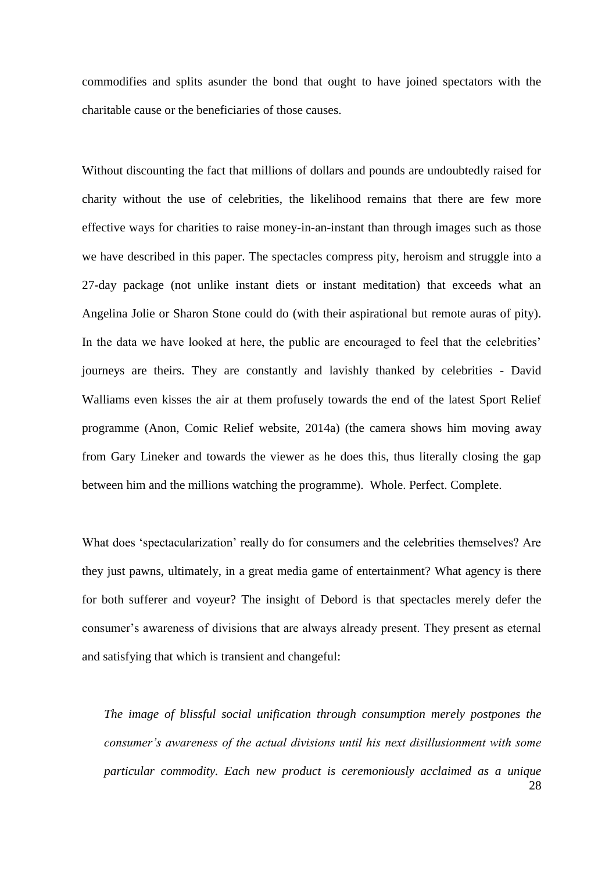commodifies and splits asunder the bond that ought to have joined spectators with the charitable cause or the beneficiaries of those causes.

Without discounting the fact that millions of dollars and pounds are undoubtedly raised for charity without the use of celebrities, the likelihood remains that there are few more effective ways for charities to raise money-in-an-instant than through images such as those we have described in this paper. The spectacles compress pity, heroism and struggle into a 27-day package (not unlike instant diets or instant meditation) that exceeds what an Angelina Jolie or Sharon Stone could do (with their aspirational but remote auras of pity). In the data we have looked at here, the public are encouraged to feel that the celebrities' journeys are theirs. They are constantly and lavishly thanked by celebrities - David Walliams even kisses the air at them profusely towards the end of the latest Sport Relief programme (Anon, Comic Relief website, 2014a) (the camera shows him moving away from Gary Lineker and towards the viewer as he does this, thus literally closing the gap between him and the millions watching the programme). Whole. Perfect. Complete.

What does 'spectacularization' really do for consumers and the celebrities themselves? Are they just pawns, ultimately, in a great media game of entertainment? What agency is there for both sufferer and voyeur? The insight of Debord is that spectacles merely defer the consumer's awareness of divisions that are always already present. They present as eternal and satisfying that which is transient and changeful:

28 *The image of blissful social unification through consumption merely postpones the consumer's awareness of the actual divisions until his next disillusionment with some particular commodity. Each new product is ceremoniously acclaimed as a unique*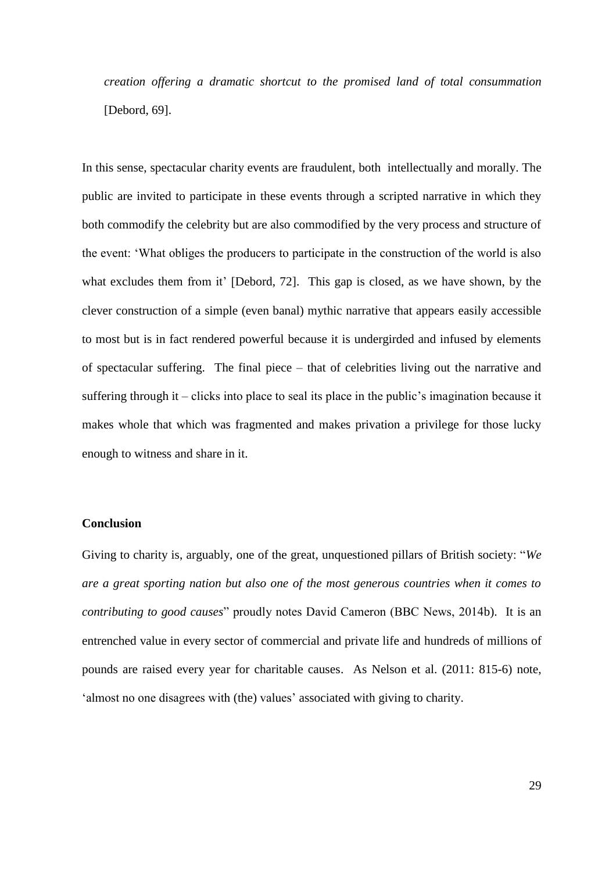*creation offering a dramatic shortcut to the promised land of total consummation*  [Debord, 69].

In this sense, spectacular charity events are fraudulent, both intellectually and morally. The public are invited to participate in these events through a scripted narrative in which they both commodify the celebrity but are also commodified by the very process and structure of the event: 'What obliges the producers to participate in the construction of the world is also what excludes them from it' [Debord, 72]. This gap is closed, as we have shown, by the clever construction of a simple (even banal) mythic narrative that appears easily accessible to most but is in fact rendered powerful because it is undergirded and infused by elements of spectacular suffering. The final piece – that of celebrities living out the narrative and suffering through it – clicks into place to seal its place in the public's imagination because it makes whole that which was fragmented and makes privation a privilege for those lucky enough to witness and share in it.

### **Conclusion**

Giving to charity is, arguably, one of the great, unquestioned pillars of British society: "*We are a great sporting nation but also one of the most generous countries when it comes to contributing to good causes*" proudly notes David Cameron (BBC News, 2014b). It is an entrenched value in every sector of commercial and private life and hundreds of millions of pounds are raised every year for charitable causes. As Nelson et al. (2011: 815-6) note, 'almost no one disagrees with (the) values' associated with giving to charity.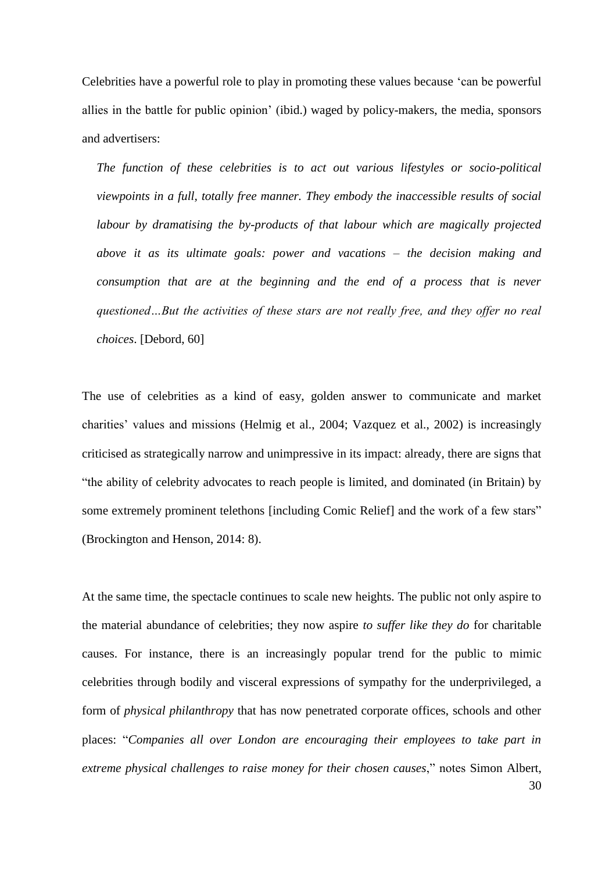Celebrities have a powerful role to play in promoting these values because 'can be powerful allies in the battle for public opinion' (ibid.) waged by policy-makers, the media, sponsors and advertisers:

*The function of these celebrities is to act out various lifestyles or socio-political viewpoints in a full, totally free manner. They embody the inaccessible results of social labour by dramatising the by-products of that labour which are magically projected above it as its ultimate goals: power and vacations – the decision making and consumption that are at the beginning and the end of a process that is never questioned…But the activities of these stars are not really free, and they offer no real choices*. [Debord, 60]

The use of celebrities as a kind of easy, golden answer to communicate and market charities' values and missions (Helmig et al., 2004; Vazquez et al., 2002) is increasingly criticised as strategically narrow and unimpressive in its impact: already, there are signs that "the ability of celebrity advocates to reach people is limited, and dominated (in Britain) by some extremely prominent telethons [including Comic Relief] and the work of a few stars" (Brockington and Henson, 2014: 8).

30 At the same time, the spectacle continues to scale new heights. The public not only aspire to the material abundance of celebrities; they now aspire *to suffer like they do* for charitable causes. For instance, there is an increasingly popular trend for the public to mimic celebrities through bodily and visceral expressions of sympathy for the underprivileged, a form of *physical philanthropy* that has now penetrated corporate offices, schools and other places: "*Companies all over London are encouraging their employees to take part in extreme physical challenges to raise money for their chosen causes*," notes Simon Albert,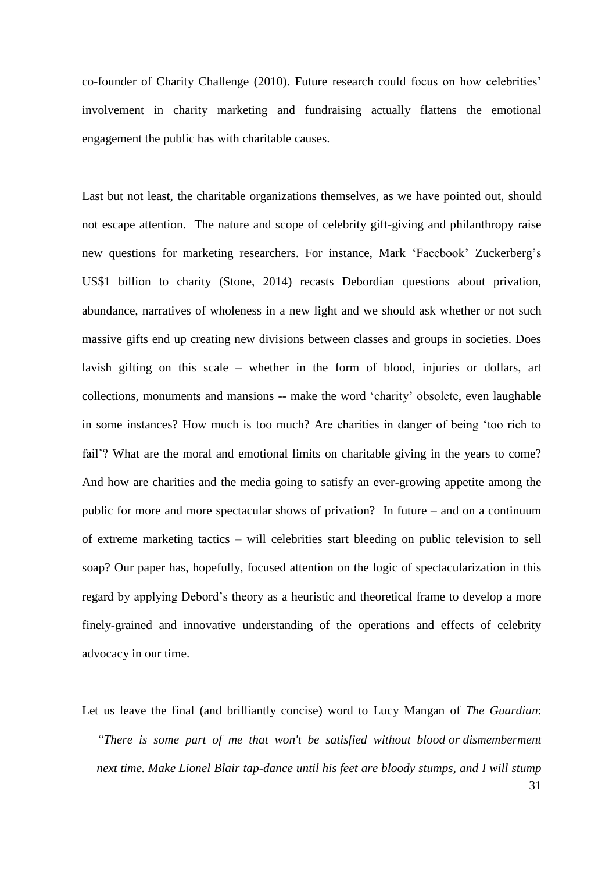co-founder of Charity Challenge (2010). Future research could focus on how celebrities' involvement in charity marketing and fundraising actually flattens the emotional engagement the public has with charitable causes.

Last but not least, the charitable organizations themselves, as we have pointed out, should not escape attention. The nature and scope of celebrity gift-giving and philanthropy raise new questions for marketing researchers. For instance, Mark 'Facebook' Zuckerberg's US\$1 billion to charity (Stone, 2014) recasts Debordian questions about privation, abundance, narratives of wholeness in a new light and we should ask whether or not such massive gifts end up creating new divisions between classes and groups in societies. Does lavish gifting on this scale – whether in the form of blood, injuries or dollars, art collections, monuments and mansions -- make the word 'charity' obsolete, even laughable in some instances? How much is too much? Are charities in danger of being 'too rich to fail'? What are the moral and emotional limits on charitable giving in the years to come? And how are charities and the media going to satisfy an ever-growing appetite among the public for more and more spectacular shows of privation? In future – and on a continuum of extreme marketing tactics – will celebrities start bleeding on public television to sell soap? Our paper has, hopefully, focused attention on the logic of spectacularization in this regard by applying Debord's theory as a heuristic and theoretical frame to develop a more finely-grained and innovative understanding of the operations and effects of celebrity advocacy in our time.

31 Let us leave the final (and brilliantly concise) word to Lucy Mangan of *The Guardian*: *"There is some part of me that won't be satisfied without blood or dismemberment next time. Make Lionel Blair tap-dance until his feet are bloody stumps, and I will stump*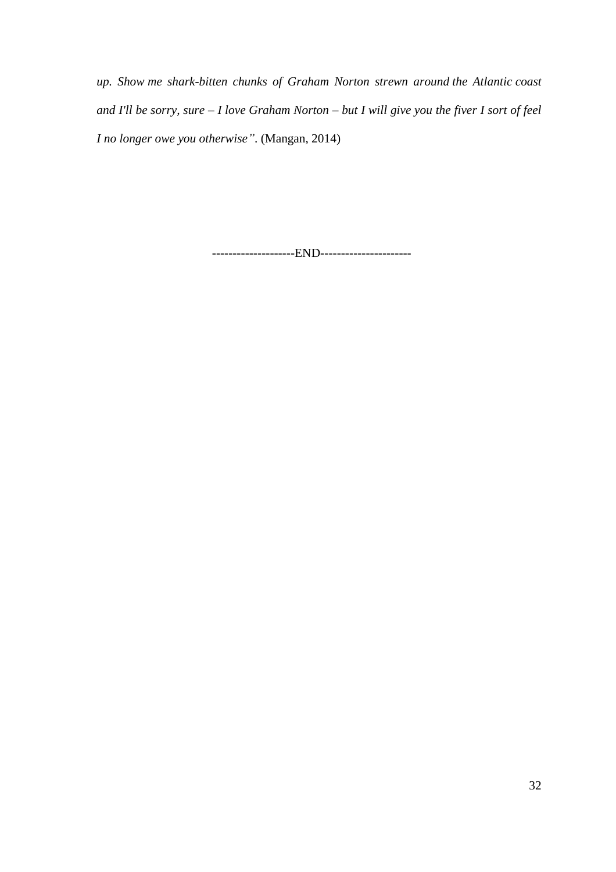*up. Show me shark-bitten chunks of Graham Norton strewn around the Atlantic coast and I'll be sorry, sure – I love Graham Norton – but I will give you the fiver I sort of feel I no longer owe you otherwise"*. (Mangan, 2014)

--------------------END----------------------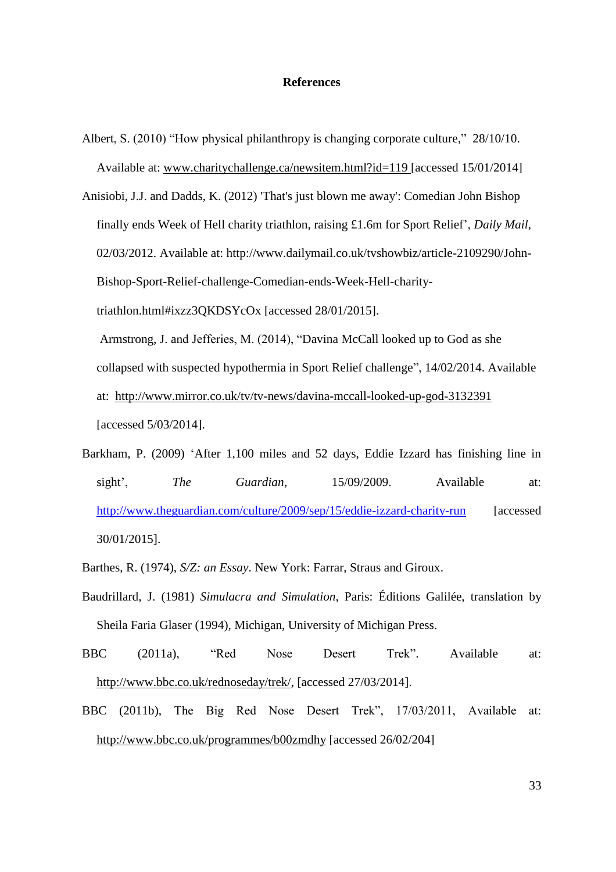# **References**

- Albert, S. (2010) "How physical philanthropy is changing corporate culture," 28/10/10. Available at: [www.charitychallenge.ca/newsitem.html?id=119](http://www.charitychallenge.ca/newsitem.html?id=119) [accessed 15/01/2014]
- Anisiobi, J.J. and Dadds, K. (2012) 'That's just blown me away': Comedian John Bishop finally ends Week of Hell charity triathlon, raising £1.6m for Sport Relief', *Daily Mail*, 02/03/2012. Available at: [http://www.dailymail.co.uk/tvshowbiz/article-2109290/John-](http://www.dailymail.co.uk/tvshowbiz/article-2109290/John-Bishop-Sport-Relief-challenge-Comedian-ends-Week-Hell-charity-triathlon.html#ixzz3QKDSYcOx)[Bishop-Sport-Relief-challenge-Comedian-ends-Week-Hell-charity](http://www.dailymail.co.uk/tvshowbiz/article-2109290/John-Bishop-Sport-Relief-challenge-Comedian-ends-Week-Hell-charity-triathlon.html#ixzz3QKDSYcOx)[triathlon.html#ixzz3QKDSYcOx](http://www.dailymail.co.uk/tvshowbiz/article-2109290/John-Bishop-Sport-Relief-challenge-Comedian-ends-Week-Hell-charity-triathlon.html#ixzz3QKDSYcOx) [accessed 28/01/2015]. Armstrong, J. and Jefferies, M. (2014), "Davina McCall looked up to God as she

collapsed with suspected hypothermia in Sport Relief challenge", 14/02/2014. Available

at: <http://www.mirror.co.uk/tv/tv-news/davina-mccall-looked-up-god-3132391> [accessed 5/03/2014].

- Barkham, P. (2009) 'After 1,100 miles and 52 days, Eddie Izzard has finishing line in sight', *The Guardian*, 15/09/2009. Available at: <http://www.theguardian.com/culture/2009/sep/15/eddie-izzard-charity-run> [accessed 30/01/2015].
- Barthes, R. (1974), *S/Z: an Essay*. New York: Farrar, Straus and Giroux.
- Baudrillard, J. (1981) *Simulacra and Simulation*, Paris: Éditions Galilée, translation by Sheila Faria Glaser (1994), Michigan, University of Michigan Press.
- BBC (2011a), "Red Nose Desert Trek". Available at: [http://www.bbc.co.uk/rednoseday/trek/,](http://www.bbc.co.uk/rednoseday/trek/) [accessed 27/03/2014].
- BBC (2011b), The Big Red Nose Desert Trek", 17/03/2011, Available at: <http://www.bbc.co.uk/programmes/b00zmdhy> [accessed 26/02/204]

33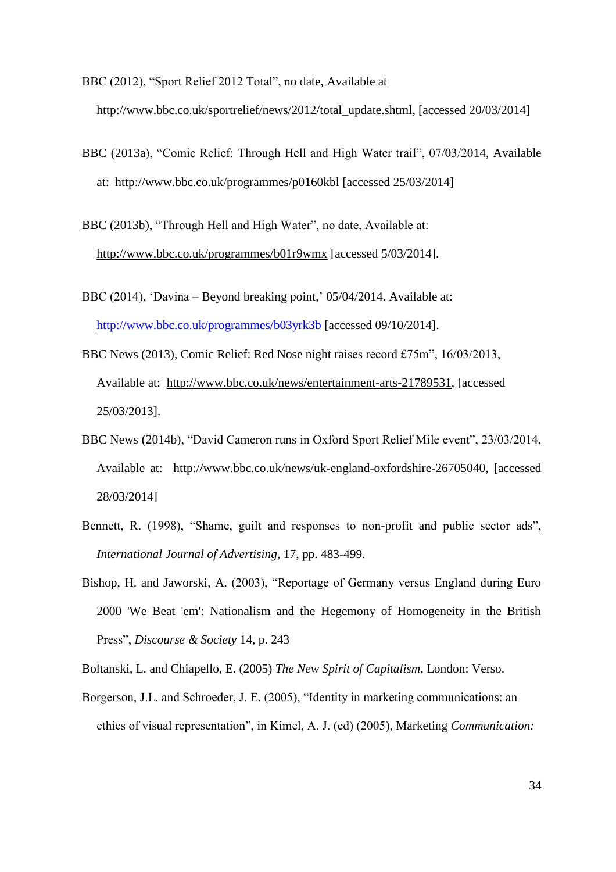BBC (2012), "Sport Relief 2012 Total", no date, Available at

[http://www.bbc.co.uk/sportrelief/news/2012/total\\_update.shtml,](http://www.bbc.co.uk/sportrelief/news/2012/total_update.shtml) [accessed 20/03/2014]

BBC (2013a), "Comic Relief: Through Hell and High Water trail", 07/03/2014, Available at: http://www.bbc.co.uk/programmes/p0160kbl [accessed 25/03/2014]

BBC (2013b), "Through Hell and High Water", no date, Available at: <http://www.bbc.co.uk/programmes/b01r9wmx> [accessed 5/03/2014].

- BBC (2014), 'Davina Beyond breaking point,' 05/04/2014. Available at: <http://www.bbc.co.uk/programmes/b03yrk3b> [accessed 09/10/2014].
- BBC News (2013), Comic Relief: Red Nose night raises record £75m", 16/03/2013, Available at: [http://www.bbc.co.uk/news/entertainment-arts-21789531,](http://www.bbc.co.uk/news/entertainment-arts-21789531) [accessed 25/03/2013].
- BBC News (2014b), "David Cameron runs in Oxford Sport Relief Mile event", 23/03/2014, Available at: [http://www.bbc.co.uk/news/uk-england-oxfordshire-26705040,](http://www.bbc.co.uk/news/uk-england-oxfordshire-26705040) [accessed 28/03/2014]
- Bennett, R. (1998), "Shame, guilt and responses to non-profit and public sector ads", *International Journal of Advertising,* 17, pp. 483-499.
- Bishop, H. and Jaworski, A. (2003), "Reportage of Germany versus England during Euro 2000 'We Beat 'em': Nationalism and the Hegemony of Homogeneity in the British Press", *Discourse & Society* 14, p. 243
- Boltanski, L. and Chiapello, E. (2005) *The New Spirit of Capitalism*, London: Verso.
- Borgerson, J.L. and Schroeder, J. E. (2005), "Identity in marketing communications: an ethics of visual representation", in Kimel, A. J. (ed) (2005), Marketing *Communication:*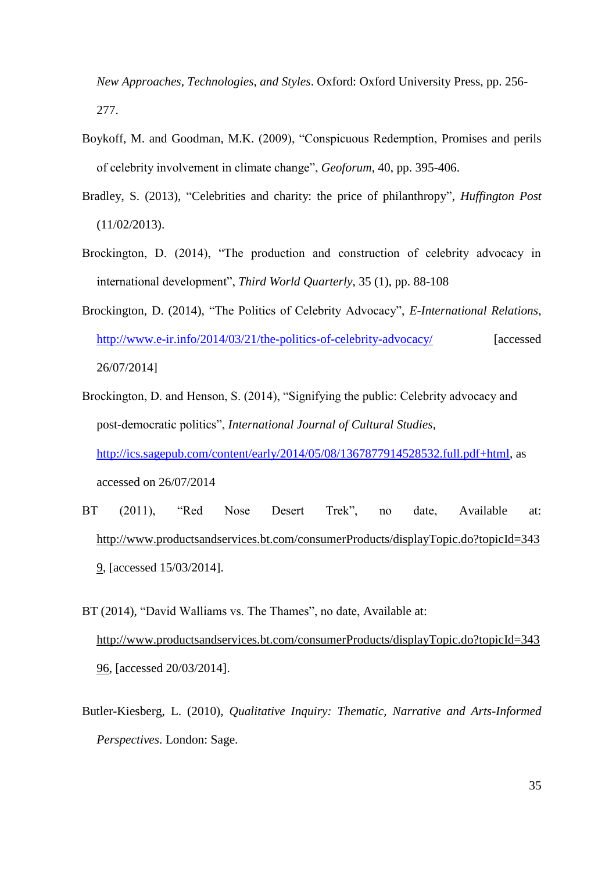*New Approaches, Technologies, and Styles*. Oxford: Oxford University Press, pp. 256- 277.

- Boykoff, M. and Goodman, M.K. (2009), "Conspicuous Redemption, Promises and perils of celebrity involvement in climate change", *Geoforum*, 40, pp. 395-406.
- Bradley, S. (2013), "Celebrities and charity: the price of philanthropy", *Huffington Post* (11/02/2013).
- Brockington, D. (2014), "The production and construction of celebrity advocacy in international development", *Third World Quarterly*, 35 (1), pp. 88-108
- Brockington, D. (2014), "The Politics of Celebrity Advocacy", *E-International Relations*, <http://www.e-ir.info/2014/03/21/the-politics-of-celebrity-advocacy/> [accessed 26/07/2014]
- Brockington, D. and Henson, S. (2014), "Signifying the public: Celebrity advocacy and post-democratic politics", *International Journal of Cultural Studies*, [http://ics.sagepub.com/content/early/2014/05/08/1367877914528532.full.pdf+html,](http://ics.sagepub.com/content/early/2014/05/08/1367877914528532.full.pdf+html) as accessed on 26/07/2014
- BT (2011), "Red Nose Desert Trek", no date, Available at: [http://www.productsandservices.bt.com/consumerProducts/displayTopic.do?topicId=343](http://www.productsandservices.bt.com/consumerProducts/displayTopic.do?topicId=3439) [9,](http://www.productsandservices.bt.com/consumerProducts/displayTopic.do?topicId=3439) [accessed 15/03/2014].
- BT (2014), "David Walliams vs. The Thames", no date, Available at: [http://www.productsandservices.bt.com/consumerProducts/displayTopic.do?topicId=343](http://www.productsandservices.bt.com/consumerProducts/displayTopic.do?topicId=34396) [96,](http://www.productsandservices.bt.com/consumerProducts/displayTopic.do?topicId=34396) [accessed 20/03/2014].
- Butler-Kiesberg, L. (2010), *Qualitative Inquiry: Thematic, Narrative and Arts-Informed Perspectives*. London: Sage.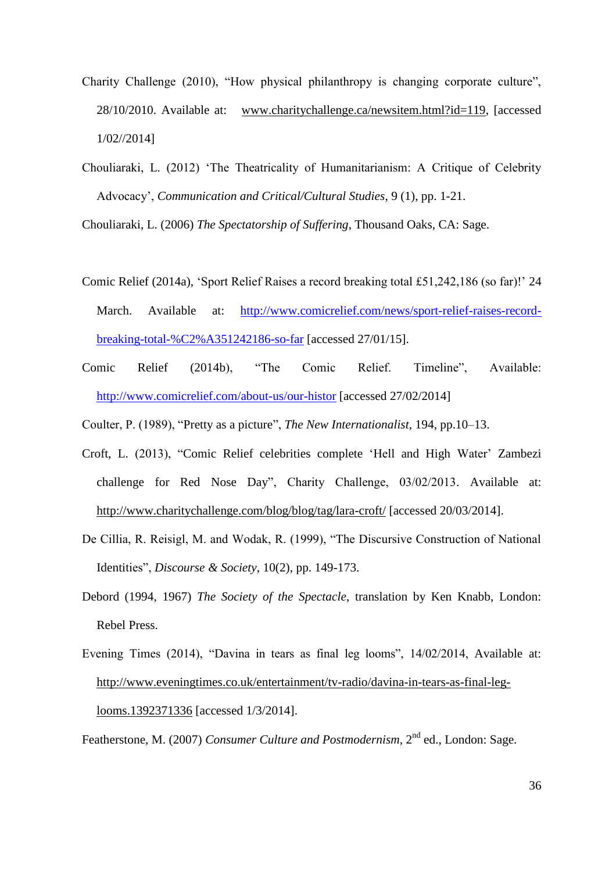- Charity Challenge (2010), "How physical philanthropy is changing corporate culture", 28/10/2010. Available at: [www.charitychallenge.ca/newsitem.html?id=119,](http://www.charitychallenge.ca/newsitem.html?id=119) [accessed 1/02//2014]
- Chouliaraki, L. (2012) 'The Theatricality of Humanitarianism: A Critique of Celebrity Advocacy', *Communication and Critical/Cultural Studies*, 9 (1), pp. 1-21.

Chouliaraki, L. (2006) *The Spectatorship of Suffering*, Thousand Oaks, CA: Sage.

- Comic Relief (2014a), 'Sport Relief Raises a record breaking total £51,242,186 (so far)!' 24 March. Available at: [http://www.comicrelief.com/news/sport-relief-raises-record](http://www.comicrelief.com/news/sport-relief-raises-record-breaking-total-%C2%A351242186-so-far)[breaking-total-%C2%A351242186-so-far](http://www.comicrelief.com/news/sport-relief-raises-record-breaking-total-%C2%A351242186-so-far) [accessed 27/01/15].
- Comic Relief (2014b), "The Comic Relief. Timeline", Available: <http://www.comicrelief.com/about-us/our-histor> [accessed 27/02/2014]
- Coulter, P. (1989), "Pretty as a picture", *The New Internationalist*, 194, pp.10–13.
- Croft, L. (2013), "Comic Relief celebrities complete 'Hell and High Water' Zambezi challenge for Red Nose Day", Charity Challenge, 03/02/2013. Available at: <http://www.charitychallenge.com/blog/blog/tag/lara-croft/> [accessed 20/03/2014].
- De Cillia, R. Reisigl, M. and Wodak, R. (1999), "The Discursive Construction of National Identities", *Discourse & Society*, 10(2), pp. 149-173.
- Debord (1994, 1967) *The Society of the Spectacle*, translation by Ken Knabb, London: Rebel Press.
- Evening Times (2014), "Davina in tears as final leg looms", 14/02/2014, Available at: [http://www.eveningtimes.co.uk/entertainment/tv-radio/davina-in-tears-as-final-leg](http://www.eveningtimes.co.uk/entertainment/tv-radio/davina-in-tears-as-final-leg-looms.1392371336)[looms.1392371336](http://www.eveningtimes.co.uk/entertainment/tv-radio/davina-in-tears-as-final-leg-looms.1392371336) [accessed 1/3/2014].

Featherstone, M. (2007) *Consumer Culture and Postmodernism*, 2nd ed., London: Sage.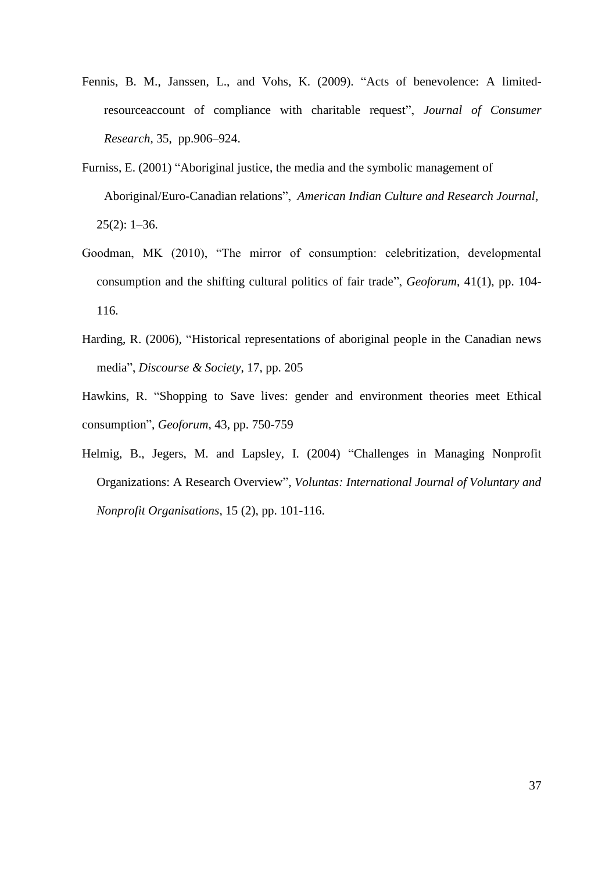- Fennis, B. M., Janssen, L., and Vohs, K. (2009). "Acts of benevolence: A limitedresourceaccount of compliance with charitable request", *Journal of Consumer Research*, 35, pp.906–924.
- Furniss, E. (2001) "Aboriginal justice, the media and the symbolic management of Aboriginal/Euro-Canadian relations", *American Indian Culture and Research Journal*,  $25(2): 1-36.$
- Goodman, MK (2010), "The mirror of consumption: celebritization, developmental consumption and the shifting cultural politics of fair trade", *Geoforum*, 41(1), pp. 104- 116.
- Harding, R. (2006), "Historical representations of aboriginal people in the Canadian news media", *Discourse & Society*, 17, pp. 205
- Hawkins, R. "Shopping to Save lives: gender and environment theories meet Ethical consumption", *Geoforum*, 43, pp. 750-759
- Helmig, B., Jegers, M. and Lapsley, I. (2004) "Challenges in Managing Nonprofit Organizations: A Research Overview", *Voluntas: International Journal of Voluntary and Nonprofit Organisations*, 15 (2), pp. 101-116.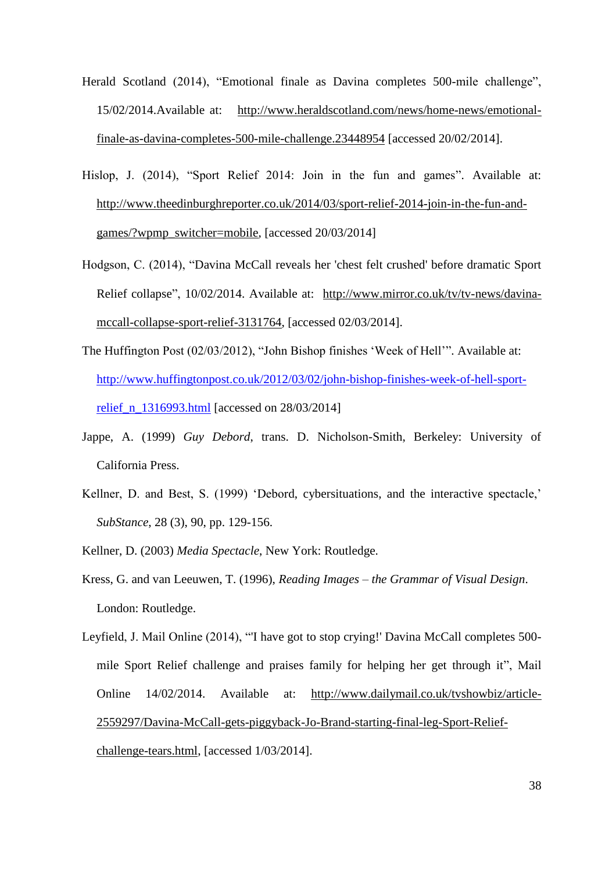- Herald Scotland (2014), "Emotional finale as Davina completes 500-mile challenge", 15/02/2014.Available at: [http://www.heraldscotland.com/news/home-news/emotional](http://www.heraldscotland.com/news/home-news/emotional-finale-as-davina-completes-500-mile-challenge.23448954)[finale-as-davina-completes-500-mile-challenge.23448954](http://www.heraldscotland.com/news/home-news/emotional-finale-as-davina-completes-500-mile-challenge.23448954) [accessed 20/02/2014].
- Hislop, J. (2014), "Sport Relief 2014: Join in the fun and games". Available at: [http://www.theedinburghreporter.co.uk/2014/03/sport-relief-2014-join-in-the-fun-and](http://www.theedinburghreporter.co.uk/2014/03/sport-relief-2014-join-in-the-fun-and-games/?wpmp_switcher=mobile)[games/?wpmp\\_switcher=mobile,](http://www.theedinburghreporter.co.uk/2014/03/sport-relief-2014-join-in-the-fun-and-games/?wpmp_switcher=mobile) [accessed 20/03/2014]
- Hodgson, C. (2014), "Davina McCall reveals her 'chest felt crushed' before dramatic Sport Relief collapse", 10/02/2014. Available at: [http://www.mirror.co.uk/tv/tv-news/davina](http://www.mirror.co.uk/tv/tv-news/davina-mccall-collapse-sport-relief-3131764)[mccall-collapse-sport-relief-3131764,](http://www.mirror.co.uk/tv/tv-news/davina-mccall-collapse-sport-relief-3131764) [accessed 02/03/2014].
- The Huffington Post (02/03/2012), "John Bishop finishes 'Week of Hell'". Available at: [http://www.huffingtonpost.co.uk/2012/03/02/john-bishop-finishes-week-of-hell-sport](http://www.huffingtonpost.co.uk/2012/03/02/john-bishop-finishes-week-of-hell-sport-relief_n_1316993.html)[relief\\_n\\_1316993.html](http://www.huffingtonpost.co.uk/2012/03/02/john-bishop-finishes-week-of-hell-sport-relief_n_1316993.html) [accessed on 28/03/2014]
- Jappe, A. (1999) *Guy Debord*, trans. D. Nicholson-Smith, Berkeley: University of California Press.
- Kellner, D. and Best, S. (1999) 'Debord, cybersituations, and the interactive spectacle,' *SubStance*, 28 (3), 90, pp. 129-156.

Kellner, D. (2003) *Media Spectacle*, New York: Routledge.

Kress, G. and van Leeuwen, T. (1996), *Reading Images – the Grammar of Visual Design*. London: Routledge.

Leyfield, J. Mail Online (2014), "'I have got to stop crying!' Davina McCall completes 500 mile Sport Relief challenge and praises family for helping her get through it", Mail Online 14/02/2014. Available at: [http://www.dailymail.co.uk/tvshowbiz/article-](http://www.dailymail.co.uk/tvshowbiz/article-2559297/Davina-McCall-gets-piggyback-Jo-Brand-starting-final-leg-Sport-Relief-challenge-tears.html)[2559297/Davina-McCall-gets-piggyback-Jo-Brand-starting-final-leg-Sport-Relief](http://www.dailymail.co.uk/tvshowbiz/article-2559297/Davina-McCall-gets-piggyback-Jo-Brand-starting-final-leg-Sport-Relief-challenge-tears.html)[challenge-tears.html,](http://www.dailymail.co.uk/tvshowbiz/article-2559297/Davina-McCall-gets-piggyback-Jo-Brand-starting-final-leg-Sport-Relief-challenge-tears.html) [accessed 1/03/2014].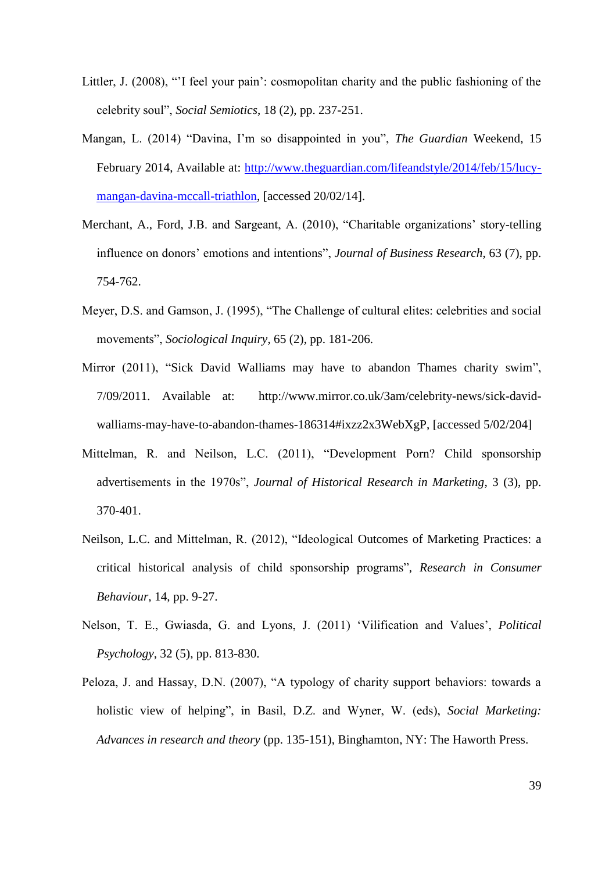- Littler, J. (2008), "'I feel your pain': cosmopolitan charity and the public fashioning of the celebrity soul", *Social Semiotics*, 18 (2), pp. 237-251.
- Mangan, L. (2014) "Davina, I'm so disappointed in you", *The Guardian* Weekend, 15 February 2014, Available at: [http://www.theguardian.com/lifeandstyle/2014/feb/15/lucy](http://www.theguardian.com/lifeandstyle/2014/feb/15/lucy-mangan-davina-mccall-triathlon)[mangan-davina-mccall-triathlon,](http://www.theguardian.com/lifeandstyle/2014/feb/15/lucy-mangan-davina-mccall-triathlon) [accessed 20/02/14].
- Merchant, A., Ford, J.B. and Sargeant, A. (2010), "Charitable organizations' story-telling influence on donors' emotions and intentions", *Journal of Business Research*, 63 (7), pp. 754-762.
- Meyer, D.S. and Gamson, J. (1995), "The Challenge of cultural elites: celebrities and social movements", *Sociological Inquiry*, 65 (2), pp. 181-206.
- Mirror (2011), "Sick David Walliams may have to abandon Thames charity swim", 7/09/2011. Available at: [http://www.mirror.co.uk/3am/celebrity-news/sick-david](http://www.mirror.co.uk/3am/celebrity-news/sick-david-walliams-may-have-to-abandon-thames-186314#ixzz2x3WebXgP)[walliams-may-have-to-abandon-thames-186314#ixzz2x3WebXgP,](http://www.mirror.co.uk/3am/celebrity-news/sick-david-walliams-may-have-to-abandon-thames-186314#ixzz2x3WebXgP) [accessed 5/02/204]
- Mittelman, R. and Neilson, L.C. (2011), "Development Porn? Child sponsorship advertisements in the 1970s", *Journal of Historical Research in Marketing*, 3 (3), pp. 370-401.
- Neilson, L.C. and Mittelman, R. (2012), "Ideological Outcomes of Marketing Practices: a critical historical analysis of child sponsorship programs", *Research in Consumer Behaviour*, 14, pp. 9-27.
- Nelson, T. E., Gwiasda, G. and Lyons, J. (2011) 'Vilification and Values', *Political Psychology*, 32 (5), pp. 813-830.
- Peloza, J. and Hassay, D.N. (2007), "A typology of charity support behaviors: towards a holistic view of helping", in Basil, D.Z. and Wyner, W. (eds), *Social Marketing: Advances in research and theory* (pp. 135-151), Binghamton, NY: The Haworth Press.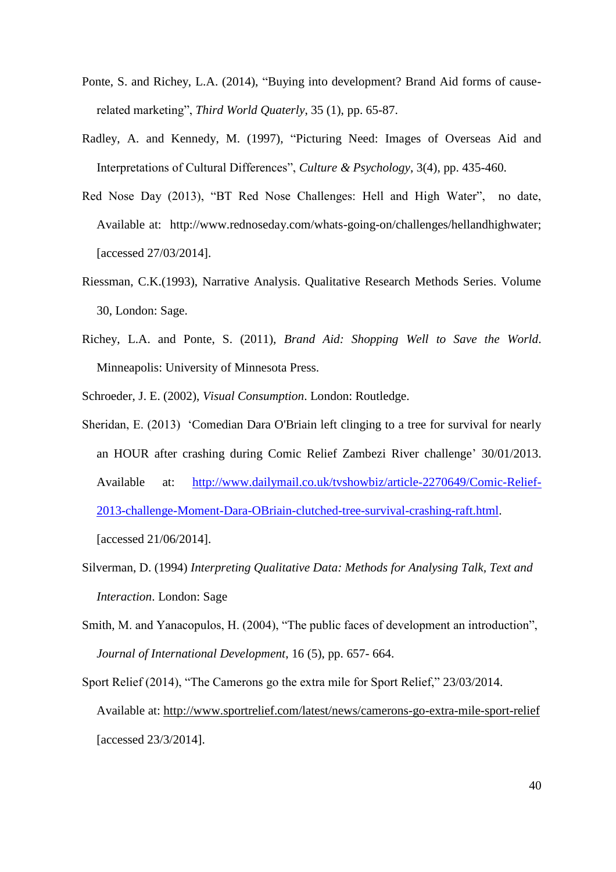- Ponte, S. and Richey, L.A. (2014), "Buying into development? Brand Aid forms of causerelated marketing", *Third World Quaterly*, 35 (1), pp. 65-87.
- Radley, A. and Kennedy, M. (1997), "Picturing Need: Images of Overseas Aid and Interpretations of Cultural Differences", *Culture & Psychology*, 3(4), pp. 435-460.
- [Red Nose Day \(2013\), "BT Red Nose Challenges: Hell and High Water", no date,](file:///C:/Users/mmoufahim/AppData/Local/Microsoft/Windows/Temporary%20Internet%20Files/AppData/Local/Microsoft/Windows/mmoufahim/AppData/Local/Microsoft/Windows/Temporary%20Internet%20Files/mmoufahim/AppData/Local/Microsoft/Windows/Temporary%20Internet%20Files/Content.Outlook/A8B1KQWA/Red%20Nose%20Day%20(2013),%20“BT%20Red%20Nose%20Challenges:%20Hell%20and%20High%20Water”,%20%20no%20date,%20Available%20at:%20%20http:/www.rednoseday.com/whats-going-on/challenges/hellandhighwater)  [Available at: http://www.rednoseday.com/whats-going-on/challenges/hellandhighwater;](file:///C:/Users/mmoufahim/AppData/Local/Microsoft/Windows/Temporary%20Internet%20Files/AppData/Local/Microsoft/Windows/mmoufahim/AppData/Local/Microsoft/Windows/Temporary%20Internet%20Files/mmoufahim/AppData/Local/Microsoft/Windows/Temporary%20Internet%20Files/Content.Outlook/A8B1KQWA/Red%20Nose%20Day%20(2013),%20“BT%20Red%20Nose%20Challenges:%20Hell%20and%20High%20Water”,%20%20no%20date,%20Available%20at:%20%20http:/www.rednoseday.com/whats-going-on/challenges/hellandhighwater) [accessed 27/03/2014].
- Riessman, C.K.(1993), Narrative Analysis. Qualitative Research Methods Series. Volume 30, London: Sage.
- Richey, L.A. and Ponte, S. (2011), *Brand Aid: Shopping Well to Save the World*. Minneapolis: University of Minnesota Press.
- Schroeder, J. E. (2002), *Visual Consumption*. London: Routledge.
- Sheridan, E. (2013) 'Comedian Dara O'Briain left clinging to a tree for survival for nearly an HOUR after crashing during Comic Relief Zambezi River challenge' 30/01/2013. Available at: [http://www.dailymail.co.uk/tvshowbiz/article-2270649/Comic-Relief-](http://www.dailymail.co.uk/tvshowbiz/article-2270649/Comic-Relief-2013-challenge-Moment-Dara-OBriain-clutched-tree-survival-crashing-raft.html)[2013-challenge-Moment-Dara-OBriain-clutched-tree-survival-crashing-raft.html.](http://www.dailymail.co.uk/tvshowbiz/article-2270649/Comic-Relief-2013-challenge-Moment-Dara-OBriain-clutched-tree-survival-crashing-raft.html) [accessed 21/06/2014].
- Silverman, D. (1994) *Interpreting Qualitative Data: Methods for Analysing Talk, Text and Interaction*. London: Sage
- Smith, M. and Yanacopulos, H. (2004), "The public faces of development an introduction", *Journal of International Development*, 16 (5), pp. 657- 664.
- Sport Relief (2014), "The Camerons go the extra mile for Sport Relief," 23/03/2014. Available at:<http://www.sportrelief.com/latest/news/camerons-go-extra-mile-sport-relief> [accessed 23/3/2014].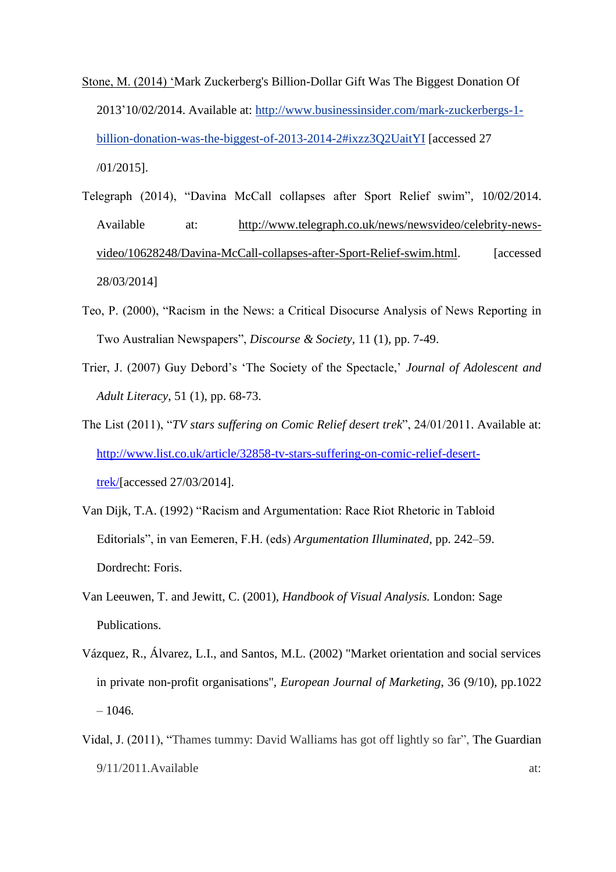- Stone, M. (2014) 'Mark Zuckerberg's Billion-Dollar Gift Was The Biggest Donation Of 2013'10/02/2014. Available at: [http://www.businessinsider.com/mark-zuckerbergs-1](http://www.businessinsider.com/mark-zuckerbergs-1-billion-donation-was-the-biggest-of-2013-2014-2#ixzz3Q2UaitYI) [billion-donation-was-the-biggest-of-2013-2014-2#ixzz3Q2UaitYI](http://www.businessinsider.com/mark-zuckerbergs-1-billion-donation-was-the-biggest-of-2013-2014-2#ixzz3Q2UaitYI) [accessed 27 /01/2015].
- Telegraph (2014), "Davina McCall collapses after Sport Relief swim", 10/02/2014. Available at: [http://www.telegraph.co.uk/news/newsvideo/celebrity-news](http://www.telegraph.co.uk/news/newsvideo/celebrity-news-video/10628248/Davina-McCall-collapses-after-Sport-Relief-swim.html)[video/10628248/Davina-McCall-collapses-after-Sport-Relief-swim.html.](http://www.telegraph.co.uk/news/newsvideo/celebrity-news-video/10628248/Davina-McCall-collapses-after-Sport-Relief-swim.html) [accessed 28/03/2014]
- Teo, P. (2000), "Racism in the News: a Critical Disocurse Analysis of News Reporting in Two Australian Newspapers", *Discourse & Society*, 11 (1), pp. 7-49.
- Trier, J. (2007) Guy Debord's 'The Society of the Spectacle,' *Journal of Adolescent and Adult Literacy*, 51 (1), pp. 68-73.
- The List (2011), "*TV stars suffering on Comic Relief desert trek*", 24/01/2011. Available at: [http://www.list.co.uk/article/32858-tv-stars-suffering-on-comic-relief-desert](http://www.list.co.uk/article/32858-tv-stars-suffering-on-comic-relief-desert-trek/)[trek/\[](http://www.list.co.uk/article/32858-tv-stars-suffering-on-comic-relief-desert-trek/)accessed 27/03/2014].
- Van Dijk, T.A. (1992) "Racism and Argumentation: Race Riot Rhetoric in Tabloid Editorials", in van Eemeren, F.H. (eds) *Argumentation Illuminated*, pp. 242–59. Dordrecht: Foris.
- Van Leeuwen, T. and Jewitt, C. (2001), *Handbook of Visual Analysis.* London: Sage Publications.
- Vázquez, R., Álvarez, L.I., and Santos, M.L. (2002) "Market orientation and social services in private non-profit organisations", *European Journal of Marketing*, 36 (9/10), pp.1022  $-1046.$
- Vidal, J. (2011), "Thames tummy: David Walliams has got off lightly so far", The Guardian 9/11/2011.Available at: